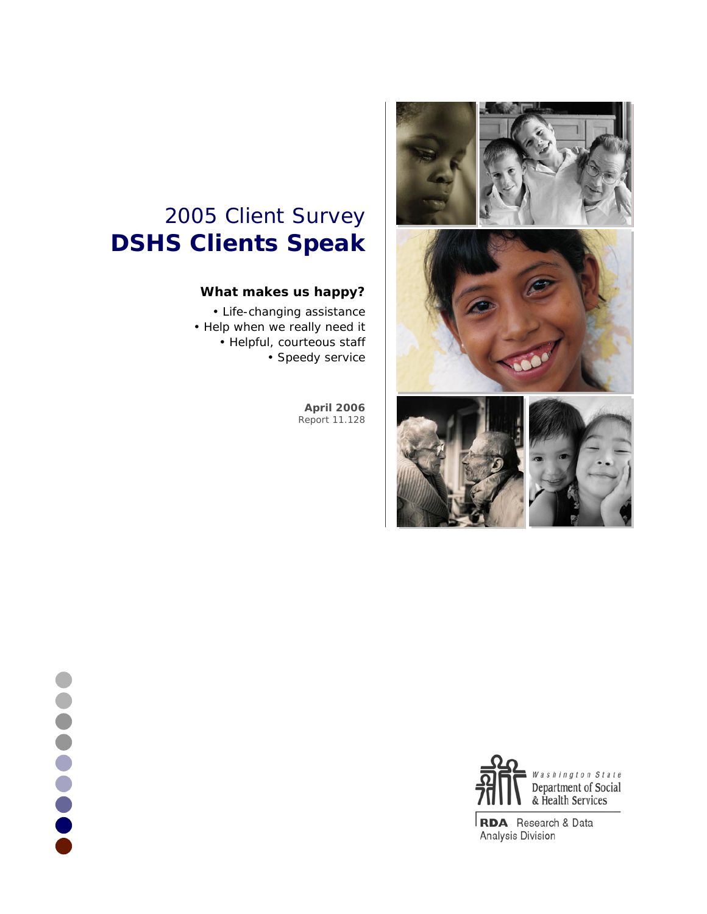

# 2005 Client Survey **DSHS Clients Speak**

# **What makes us happy?**

• Life-changing assistance • Help when we really need it • Helpful, courteous staff • Speedy service

> **April 2006** Report 11.128



**RDA** Research & Data Analysis Division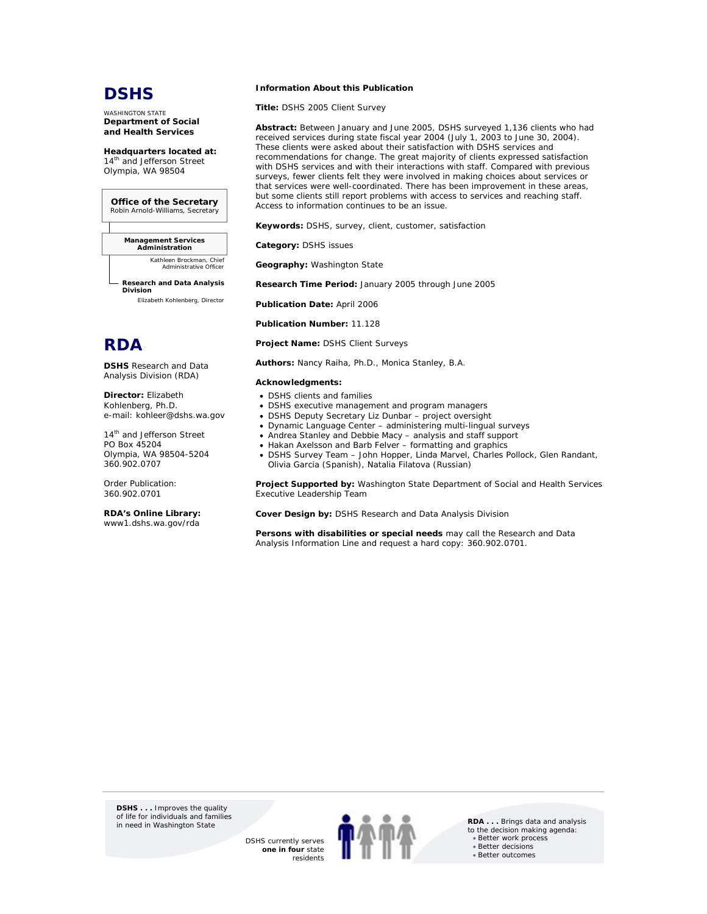# **DSHS**

WASHINGTON STATE **Department of Social and Health Services** 

**Headquarters located at:**  14<sup>th</sup> and Jefferson Street Olympia, WA 98504

**Office of the Secretary** Robin Arnold-Williams, Secretary

**Management Services Administration**

*Kathleen Brockman, Chief Administrative Office* 

**Research and Data Analysis Division** *Elizabeth Kohlenberg, Director*



**DSHS** Research and Data Analysis Division (RDA)

**Director:** Elizabeth Kohlenberg, Ph.D. e-mail: kohleer@dshs.wa.gov

14<sup>th</sup> and Jefferson Street PO Box 45204 Olympia, WA 98504-5204 360.902.0707

Order Publication: 360.902.0701

**RDA's Online Library:** www1.dshs.wa.gov/rda

#### **Information About this Publication**

**Title:** DSHS 2005 Client Survey

**Abstract:** Between January and June 2005, DSHS surveyed 1,136 clients who had received services during state fiscal year 2004 (July 1, 2003 to June 30, 2004). These clients were asked about their satisfaction with DSHS services and recommendations for change. The great majority of clients expressed satisfaction with DSHS services and with their interactions with staff. Compared with previous surveys, fewer clients felt they were involved in making choices about services or that services were well-coordinated. There has been improvement in these areas, but some clients still report problems with access to services and reaching staff. Access to information continues to be an issue.

**Keywords:** DSHS, survey, client, customer, satisfaction

**Category:** DSHS issues

**Geography:** Washington State

**Research Time Period:** January 2005 through June 2005

**Publication Date:** April 2006

**Publication Number:** 11.128

**Project Name:** DSHS Client Surveys

**Authors:** Nancy Raiha, Ph.D., Monica Stanley, B.A.

#### **Acknowledgments:**

- DSHS clients and families
- DSHS executive management and program managers
- DSHS Deputy Secretary Liz Dunbar project oversight
- Dynamic Language Center administering multi-lingual surveys
- Andrea Stanley and Debbie Macy analysis and staff support
- Hakan Axelsson and Barb Felver formatting and graphics
- DSHS Survey Team John Hopper, Linda Marvel, Charles Pollock, Glen Randant, Olivia Garcia (Spanish), Natalia Filatova (Russian)

**Project Supported by:** Washington State Department of Social and Health Services Executive Leadership Team

**Cover Design by:** DSHS Research and Data Analysis Division

**Persons with disabilities or special needs** may call the Research and Data Analysis Information Line and request a hard copy: 360.902.0701.

**DSHS . . .** Improves the quality of life for individuals and families<br>in need in Washington State

> DSHS currently serves **one in four** state residents



**RDA . . . Brings data and analysis** to the decision making agenda: • Better work process • Better decisions • Better outcomes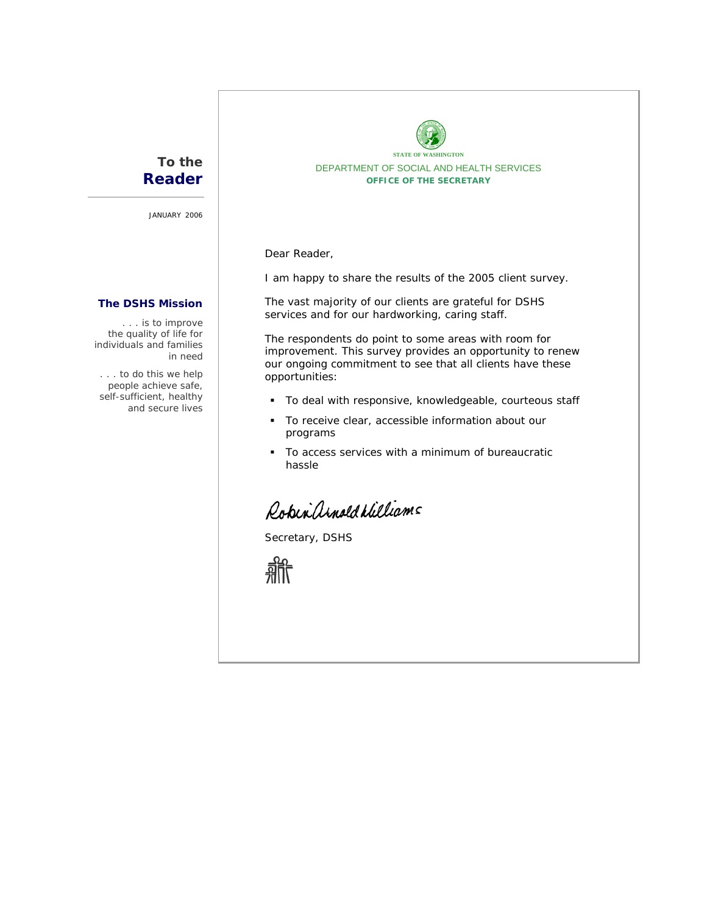# **To the Reader**

JANUARY 2006

# **The DSHS Mission**

*. . . is to improve the quality of life for individuals and families in need* 

*. . . to do this we help people achieve safe, self-sufficient, healthy and secure lives*



Dear Reader,

I am happy to share the results of the 2005 client survey.

The vast majority of our clients are grateful for DSHS services and for our hardworking, caring staff.

The respondents do point to some areas with room for improvement. This survey provides an opportunity to renew our ongoing commitment to see that all clients have these opportunities:

- To deal with responsive, knowledgeable, courteous staff
- To receive clear, accessible information about our programs
- To access services with a minimum of bureaucratic hassle

Robin and d Milliams

Secretary, DSHS

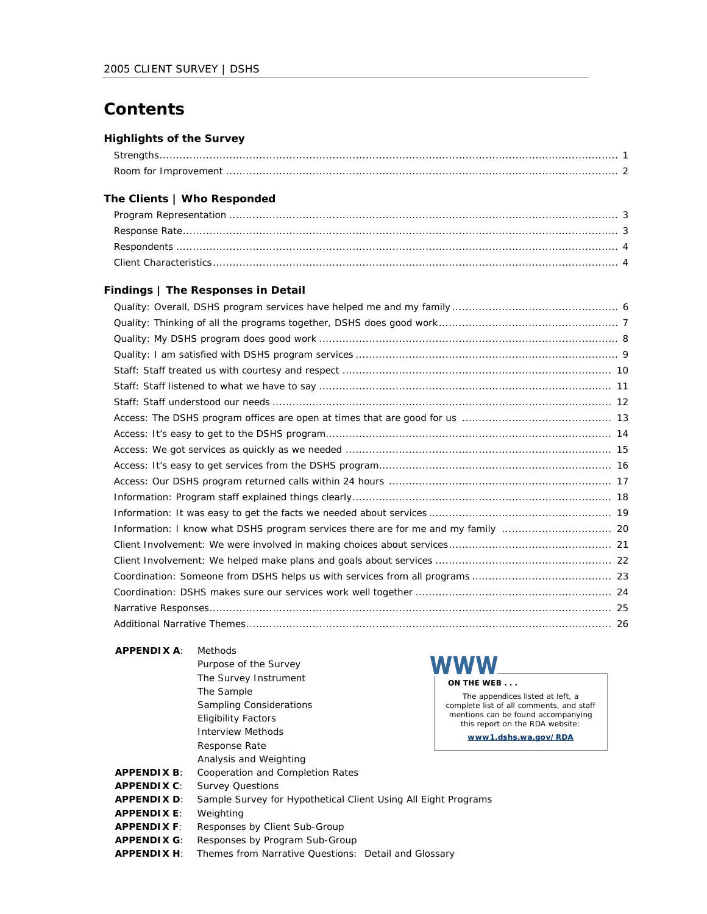# **Contents**

# **Highlights of the Survey**

# **The Clients | Who Responded**

### **Findings | The Responses in Detail**

### **APPENDIX A**: Methods

| AFFLIVUIA A.       | IVIGU IUUJ                                                     |                                                                       |
|--------------------|----------------------------------------------------------------|-----------------------------------------------------------------------|
|                    | Purpose of the Survey                                          | WWW                                                                   |
|                    | The Survey Instrument                                          | ON THE WEB                                                            |
|                    | The Sample                                                     | The appendices listed at left, a                                      |
|                    | <b>Sampling Considerations</b>                                 | complete list of all comments, and staff                              |
|                    | <b>Eligibility Factors</b>                                     | mentions can be found accompanying<br>this report on the RDA website: |
|                    | <b>Interview Methods</b>                                       | www1.dshs.wa.gov/RDA                                                  |
|                    | Response Rate                                                  |                                                                       |
|                    | Analysis and Weighting                                         |                                                                       |
| <b>APPENDIX B:</b> | Cooperation and Completion Rates                               |                                                                       |
| <b>APPENDIX C:</b> | <b>Survey Questions</b>                                        |                                                                       |
| <b>APPENDIX D:</b> | Sample Survey for Hypothetical Client Using All Eight Programs |                                                                       |
| <b>APPENDIX E:</b> | Weighting                                                      |                                                                       |
| <b>APPENDIX F:</b> | Responses by Client Sub-Group                                  |                                                                       |
| <b>APPENDIX G:</b> | Responses by Program Sub-Group                                 |                                                                       |
| <b>APPENDIX H:</b> | Themes from Narrative Questions: Detail and Glossary           |                                                                       |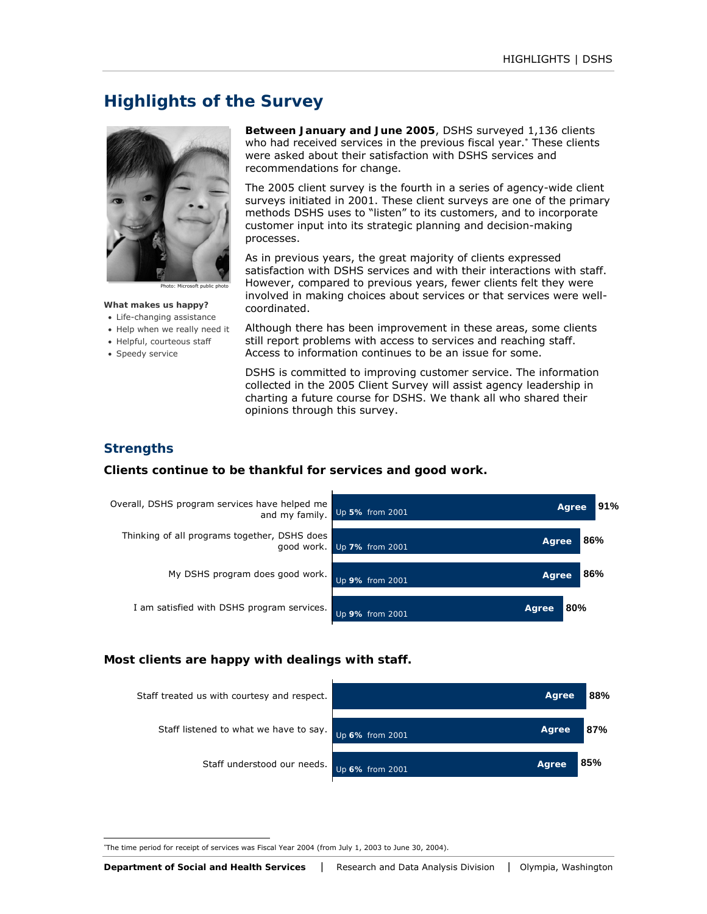# **Highlights of the Survey**



Photo: Microsoft public photo

#### **What makes us happy?**

- Life-changing assistance
- Help when we really need it
- Helpful, courteous staff
- Speedy service

**Between January and June 2005**, DSHS surveyed 1,136 clients who had received services in the previous fiscal year.<sup>\*</sup> These clients were asked about their satisfaction with DSHS services and recommendations for change.

The 2005 client survey is the fourth in a series of agency-wide client surveys initiated in 2001. These client surveys are one of the primary methods DSHS uses to "listen" to its customers, and to incorporate customer input into its strategic planning and decision-making processes.

As in previous years, the great majority of clients expressed satisfaction with DSHS services and with their interactions with staff. However, compared to previous years, fewer clients felt they were involved in making choices about services or that services were wellcoordinated.

Although there has been improvement in these areas, some clients still report problems with access to services and reaching staff. Access to information continues to be an issue for some.

DSHS is committed to improving customer service. The information collected in the 2005 Client Survey will assist agency leadership in charting a future course for DSHS. We thank all who shared their opinions through this survey.

# **Strengths**

### *Clients continue to be thankful for services and good work.*



#### *Most clients are happy with dealings with staff.*



l ∗ The time period for receipt of services was Fiscal Year 2004 (from July 1, 2003 to June 30, 2004).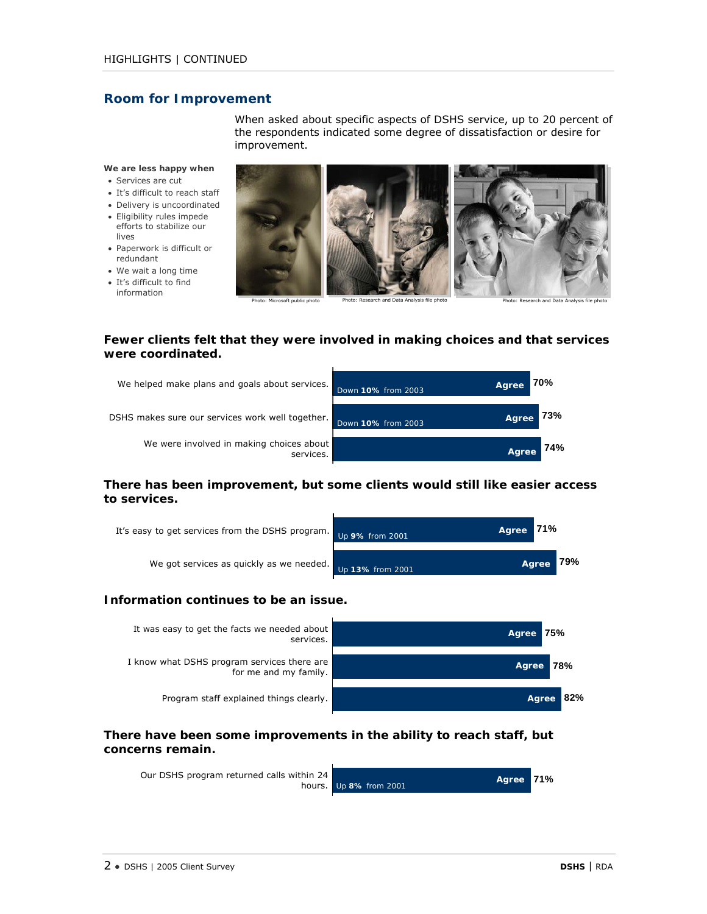# **Room for Improvement**

When asked about specific aspects of DSHS service, up to 20 percent of the respondents indicated some degree of dissatisfaction or desire for improvement.

**We are less happy when** 

- Services are cut
- It's difficult to reach staff
- Delivery is uncoordinated
- Eligibility rules impede efforts to stabilize our lives
- Paperwork is difficult or redundant
- We wait a long time
- It's difficult to find information



# *Fewer clients felt that they were involved in making choices and that services were coordinated.*



# *There has been improvement, but some clients would still like easier access to services.*



### *Information continues to be an issue.*



# *There have been some improvements in the ability to reach staff, but concerns remain.*

| Our DSHS program returned calls within 24 | Agree 71%<br>hours. $Up$ 8% from 2001 |  |
|-------------------------------------------|---------------------------------------|--|
|                                           |                                       |  |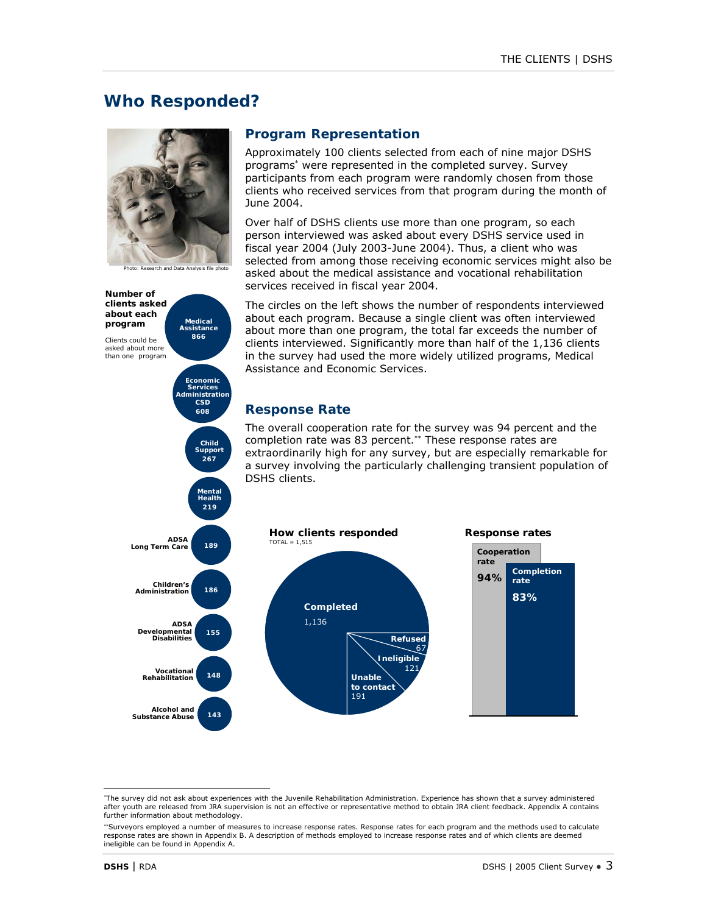# **Who Responded?**



Photo: Research and Data Analysis file photo



# **Program Representation**

Approximately 100 clients selected from each of nine major DSHS programs<sup>∗</sup> were represented in the completed survey. Survey participants from each program were randomly chosen from those clients who received services from that program during the month of June 2004.

Over half of DSHS clients use more than one program, so each person interviewed was asked about every DSHS service used in fiscal year 2004 (July 2003-June 2004). Thus, a client who was selected from among those receiving economic services might also be asked about the medical assistance and vocational rehabilitation services received in fiscal year 2004.

The circles on the left shows the number of respondents interviewed about each program. Because a single client was often interviewed about more than one program, the total far exceeds the number of clients interviewed. Significantly more than half of the 1,136 clients in the survey had used the more widely utilized programs, Medical Assistance and Economic Services.

# **Response Rate**

The overall cooperation rate for the survey was 94 percent and the completion rate was 83 percent.<sup>\*\*</sup> These response rates are extraordinarily high for any survey, but are especially remarkable for a survey involving the particularly challenging transient population of DSHS clients.



l ∗ The survey did not ask about experiences with the Juvenile Rehabilitation Administration. Experience has shown that a survey administered after youth are released from JRA supervision is not an effective or representative method to obtain JRA client feedback. Appendix A contains further information about methodology.

<sup>∗∗</sup>Surveyors employed a number of measures to increase response rates. Response rates for each program and the methods used to calculate response rates are shown in Appendix B. A description of methods employed to increase response rates and of which clients are deemed ineligible can be found in Appendix A.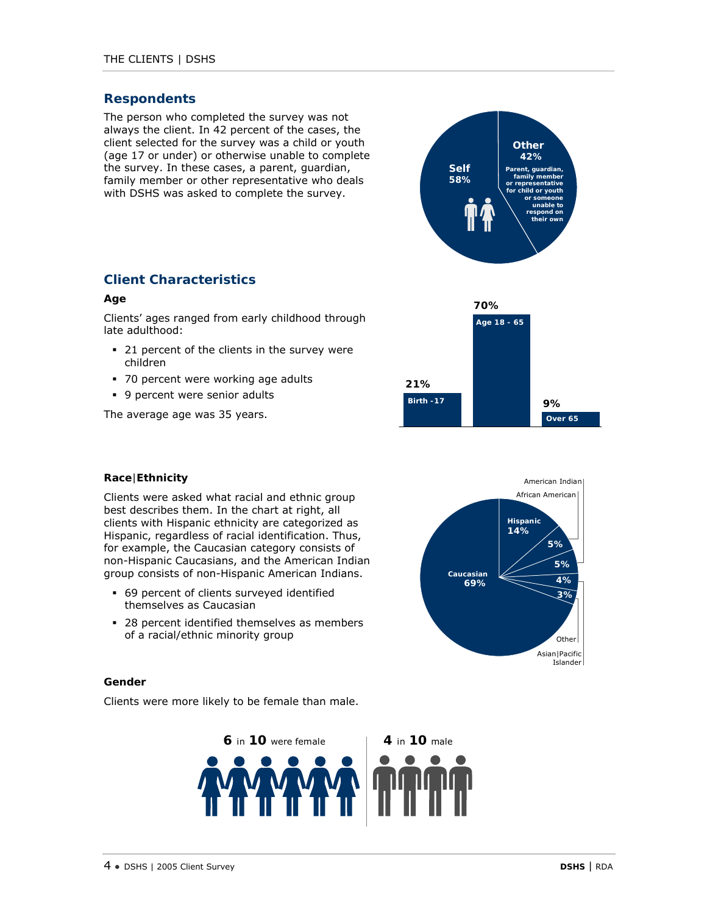# **Respondents**

The person who completed the survey was not always the client. In 42 percent of the cases, the client selected for the survey was a child or youth (age 17 or under) or otherwise unable to complete the survey. In these cases, a parent, guardian, family member or other representative who deals with DSHS was asked to complete the survey.



**Age 18 - 65**

**70%**

**Over 65**

**9%**

# **Client Characteristics**

#### **Age**

Clients' ages ranged from early childhood through late adulthood:

- <sup>2</sup> 21 percent of the clients in the survey were children
- 70 percent were working age adults
- 9 percent were senior adults

The average age was 35 years.

### **Race**|**Ethnicity**

Clients were asked what racial and ethnic group best describes them. In the chart at right, all clients with Hispanic ethnicity are categorized as Hispanic, regardless of racial identification. Thus, for example, the Caucasian category consists of non-Hispanic Caucasians, and the American Indian group consists of non-Hispanic American Indians.

- 69 percent of clients surveyed identified themselves as Caucasian
- <sup>28</sup> percent identified themselves as members of a racial/ethnic minority group



**Birth -17 21%**

### **Gender**

Clients were more likely to be female than male.



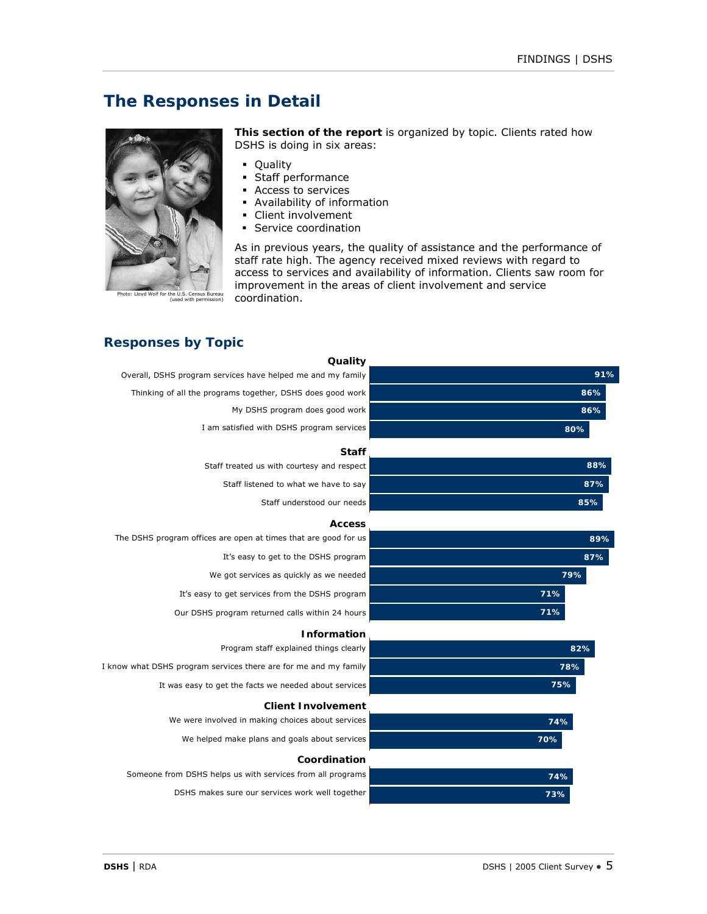# **The Responses in Detail**



Photo: Lloyd Wolf for the U.S. Census Bureau (used with permission)

**This section of the report** is organized by topic. Clients rated how DSHS is doing in six areas:

- Quality
- Staff performance
- Access to services
- Availability of information
- Client involvement
- **Service coordination**

As in previous years, the quality of assistance and the performance of staff rate high. The agency received mixed reviews with regard to access to services and availability of information. Clients saw room for improvement in the areas of client involvement and service coordination.

# **Responses by Topic**

|     | Quality                                                          |
|-----|------------------------------------------------------------------|
| 91% | Overall, DSHS program services have helped me and my family      |
| 86% | Thinking of all the programs together, DSHS does good work       |
| 86% | My DSHS program does good work                                   |
| 80% | I am satisfied with DSHS program services                        |
|     | <b>Staff</b>                                                     |
| 88% | Staff treated us with courtesy and respect                       |
| 87% | Staff listened to what we have to say                            |
| 85% | Staff understood our needs                                       |
|     | <b>Access</b>                                                    |
| 89% | The DSHS program offices are open at times that are good for us  |
| 87% | It's easy to get to the DSHS program                             |
| 79% | We got services as quickly as we needed                          |
| 71% | It's easy to get services from the DSHS program                  |
| 71% | Our DSHS program returned calls within 24 hours                  |
|     |                                                                  |
| 82% | <b>Information</b><br>Program staff explained things clearly     |
| 78% | I know what DSHS program services there are for me and my family |
| 75% | It was easy to get the facts we needed about services            |
|     |                                                                  |
|     | <b>Client Involvement</b>                                        |
| 74% | We were involved in making choices about services                |
| 70% | We helped make plans and goals about services                    |
|     | Coordination                                                     |
| 74% | Someone from DSHS helps us with services from all programs       |
| 73% | DSHS makes sure our services work well together                  |
|     |                                                                  |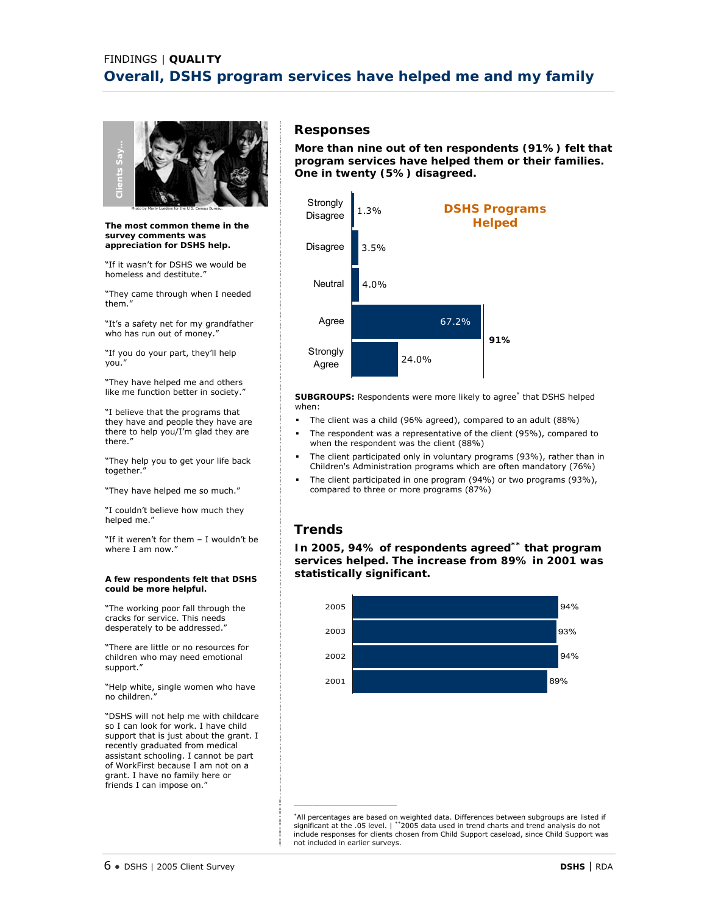

**The most common theme in the survey comments was appreciation for DSHS help.**

"If it wasn't for DSHS we would be homeless and destitute."

"They came through when I needed them."

"It's a safety net for my grandfather who has run out of money."

"If you do your part, they'll help you."

"They have helped me and others like me function better in society."

"I believe that the programs that they have and people they have are there to help you/I'm glad they are there."

"They help you to get your life back together."

"They have helped me so much."

"I couldn't believe how much they helped me."

"If it weren't for them – I wouldn't be where I am now."

#### **A few respondents felt that DSHS could be more helpful.**

"The working poor fall through the cracks for service. This needs desperately to be addressed.'

"There are little or no resources for children who may need emotional support."

"Help white, single women who have no children."

"DSHS will not help me with childcare so I can look for work. I have child support that is just about the grant. I recently graduated from medical assistant schooling. I cannot be part of WorkFirst because I am not on a grant. I have no family here or friends I can impose on."

# **Responses**

**More than nine out of ten respondents (91%) felt that program services have helped them or their families. One in twenty (5%) disagreed.** 



**SUBGROUPS:** Respondents were more likely to agree\* that DSHS helped when:

- The client was a child (96% agreed), compared to an adult (88%)
- The respondent was a representative of the client (95%), compared to when the respondent was the client (88%)
- The client participated only in voluntary programs (93%), rather than in Children's Administration programs which are often mandatory (76%)
- The client participated in one program (94%) or two programs (93%), compared to three or more programs (87%)

# **Trends**

 $\frac{1}{2}$  ,  $\frac{1}{2}$  ,  $\frac{1}{2}$  ,  $\frac{1}{2}$  ,  $\frac{1}{2}$  ,  $\frac{1}{2}$  ,  $\frac{1}{2}$  ,  $\frac{1}{2}$  ,  $\frac{1}{2}$  ,  $\frac{1}{2}$  ,  $\frac{1}{2}$  ,  $\frac{1}{2}$  ,  $\frac{1}{2}$  ,  $\frac{1}{2}$  ,  $\frac{1}{2}$  ,  $\frac{1}{2}$  ,  $\frac{1}{2}$  ,  $\frac{1}{2}$  ,  $\frac{1$ 

**In 2005, 94% of respondents agreed\*\* that program services helped. The increase from 89% in 2001 was statistically significant.** 



\*All percentages are based on weighted data. Differences between subgroups are listed if significant at the .05 level. | \*\*2005 data used in trend charts and trend analysis do not include responses for clients chosen from Child Support caseload, since Child Support was not included in earlier surveys.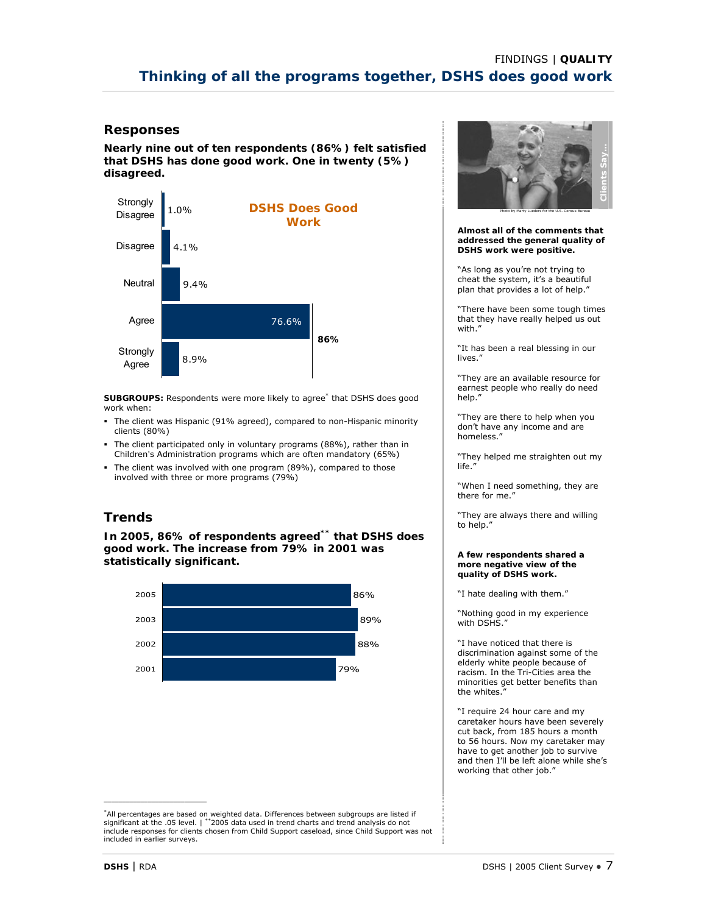**Nearly nine out of ten respondents (86%) felt satisfied that DSHS has done good work. One in twenty (5%) disagreed.** 



**SUBGROUPS:** Respondents were more likely to agree\* that DSHS does good work when:

- The client was Hispanic (91% agreed), compared to non-Hispanic minority clients (80%)
- The client participated only in voluntary programs (88%), rather than in Children's Administration programs which are often mandatory (65%)
- The client was involved with one program (89%), compared to those involved with three or more programs (79%)

# **Trends**

**In 2005, 86% of respondents agreed\*\* that DSHS does good work. The increase from 79% in 2001 was statistically significant.** 



\*All percentages are based on weighted data. Differences between subgroups are listed if significant at the .05 level. | \*\*2005 data used in trend charts and trend analysis do not include responses for clients chosen from Child Support caseload, since Child Support was not included in earlier surveys.



#### **Almost all of the comments that addressed the general quality of DSHS work were positive.**

"As long as you're not trying to cheat the system, it's a beautiful plan that provides a lot of help."

"There have been some tough times that they have really helped us out with."

"It has been a real blessing in our lives."

"They are an available resource for earnest people who really do need help."

"They are there to help when you don't have any income and are homeless."

"They helped me straighten out my life."

"When I need something, they are there for me."

"They are always there and willing to help."

#### **A few respondents shared a more negative view of the quality of DSHS work.**

"I hate dealing with them."

"Nothing good in my experience with DSHS."

"I have noticed that there is discrimination against some of the elderly white people because of racism. In the Tri-Cities area the minorities get better benefits than the whites."

"I require 24 hour care and my caretaker hours have been severely cut back, from 185 hours a month to 56 hours. Now my caretaker may have to get another job to survive and then I'll be left alone while she's working that other job."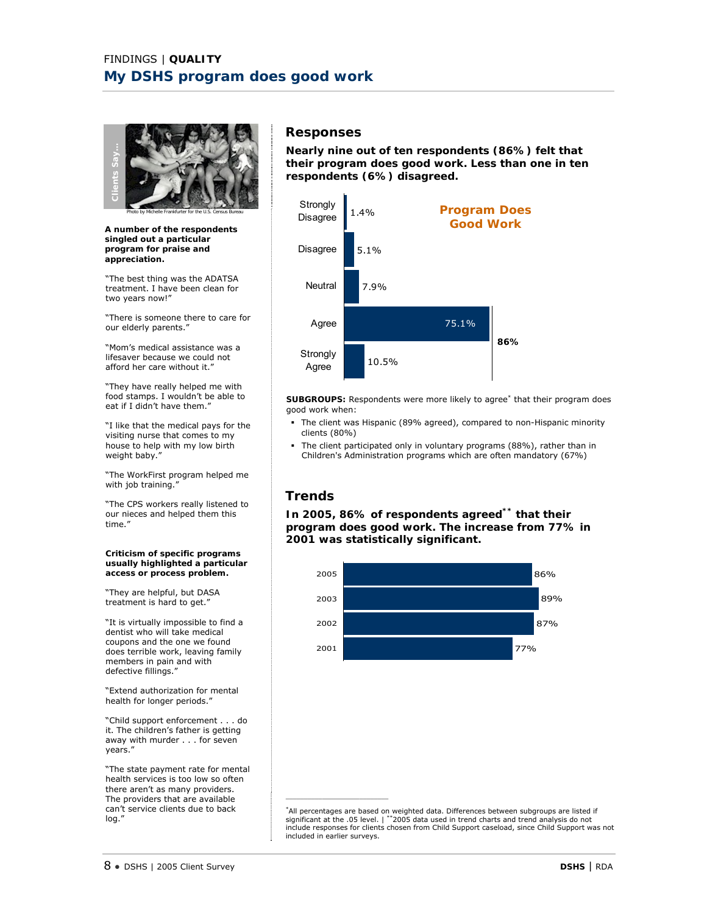

Photo by Michelle Frankfurter for the U.S. Census Bureau

**A number of the respondents singled out a particular program for praise and appreciation.** 

"The best thing was the ADATSA treatment. I have been clean for two years now!"

"There is someone there to care for our elderly parents."

"Mom's medical assistance was a lifesaver because we could not afford her care without it."

"They have really helped me with food stamps. I wouldn't be able to eat if I didn't have them."

"I like that the medical pays for the visiting nurse that comes to my house to help with my low birth weight baby."

"The WorkFirst program helped me with job training."

"The CPS workers really listened to our nieces and helped them this time."

**Criticism of specific programs usually highlighted a particular access or process problem.** 

"They are helpful, but DASA treatment is hard to get."

"It is virtually impossible to find a dentist who will take medical coupons and the one we found does terrible work, leaving family members in pain and with defective fillings."

"Extend authorization for mental health for longer periods."

"Child support enforcement . . . do it. The children's father is getting away with murder . . . for seven years."

"The state payment rate for mental health services is too low so often there aren't as many providers. The providers that are available can't service clients due to back log."

### **Responses**

**Nearly nine out of ten respondents (86%) felt that their program does good work. Less than one in ten respondents (6%) disagreed.** 



**SUBGROUPS:** Respondents were more likely to agree<sup>\*</sup> that their program does good work when:

- The client was Hispanic (89% agreed), compared to non-Hispanic minority clients (80%)
- The client participated only in voluntary programs (88%), rather than in Children's Administration programs which are often mandatory (67%)

# **Trends**

\_\_\_\_\_\_\_\_\_\_\_\_\_\_\_\_\_\_\_\_\_\_\_\_\_\_\_\_

**In 2005, 86% of respondents agreed\*\* that their program does good work. The increase from 77% in 2001 was statistically significant.** 



\*All percentages are based on weighted data. Differences between subgroups are listed if significant at the .05 level. | \*\*2005 data used in trend charts and trend analysis do not include responses for clients chosen from Child Support caseload, since Child Support was not included in earlier surveys.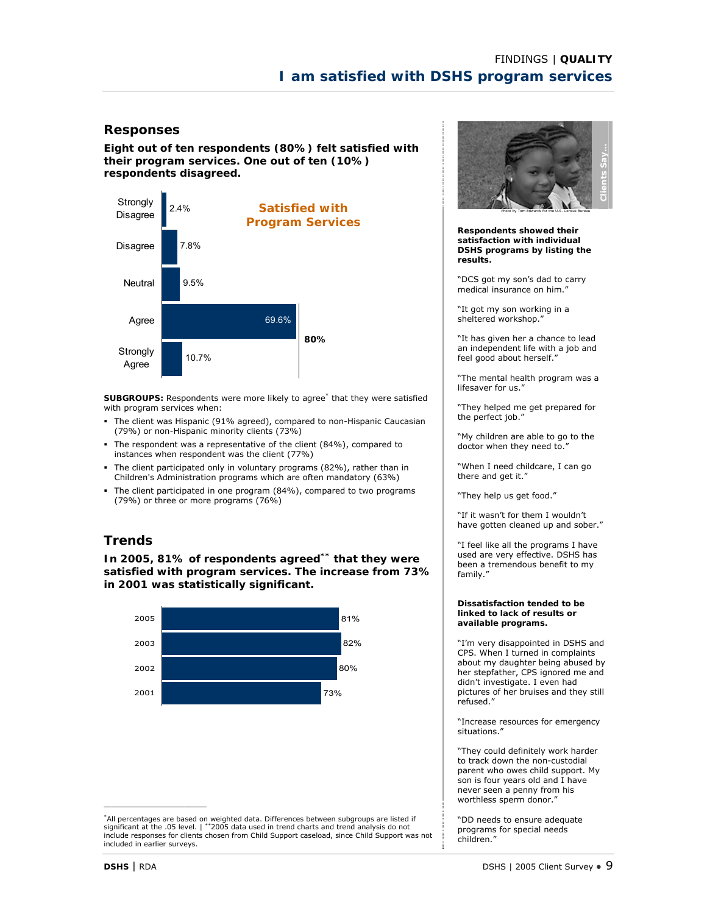**Eight out of ten respondents (80%) felt satisfied with their program services. One out of ten (10%) respondents disagreed.** 



**SUBGROUPS:** Respondents were more likely to agree\* that they were satisfied with program services when:

- The client was Hispanic (91% agreed), compared to non-Hispanic Caucasian (79%) or non-Hispanic minority clients (73%)
- The respondent was a representative of the client (84%), compared to instances when respondent was the client (77%)
- The client participated only in voluntary programs (82%), rather than in Children's Administration programs which are often mandatory (63%)
- The client participated in one program (84%), compared to two programs (79%) or three or more programs (76%)

# **Trends**

**In 2005, 81% of respondents agreed\*\* that they were satisfied with program services. The increase from 73% in 2001 was statistically significant.** 



\*All percentages are based on weighted data. Differences between subgroups are listed if significant at the .05 level. | \*\*2005 data used in trend charts and trend analysis do not include responses for clients chosen from Child Support caseload, since Child Support was not included in earlier surveys.



**Respondents showed their satisfaction with individual DSHS programs by listing the results.** 

"DCS got my son's dad to carry medical insurance on him."

"It got my son working in a sheltered workshop."

"It has given her a chance to lead an independent life with a job and feel good about herself.

"The mental health program was a lifesaver for us."

"They helped me get prepared for the perfect job."

"My children are able to go to the doctor when they need to."

"When I need childcare, I can go there and get it."

"They help us get food."

"If it wasn't for them I wouldn't have gotten cleaned up and sober."

"I feel like all the programs I have used are very effective. DSHS has been a tremendous benefit to my family."

#### **Dissatisfaction tended to be linked to lack of results or available programs.**

"I'm very disappointed in DSHS and CPS. When I turned in complaints about my daughter being abused by her stepfather, CPS ignored me and didn't investigate. I even had pictures of her bruises and they still refused."

"Increase resources for emergency situations."

"They could definitely work harder to track down the non-custodial parent who owes child support. My son is four years old and I have never seen a penny from his worthless sperm donor."

"DD needs to ensure adequate programs for special needs children."

 $\mathcal{L}_\text{max}$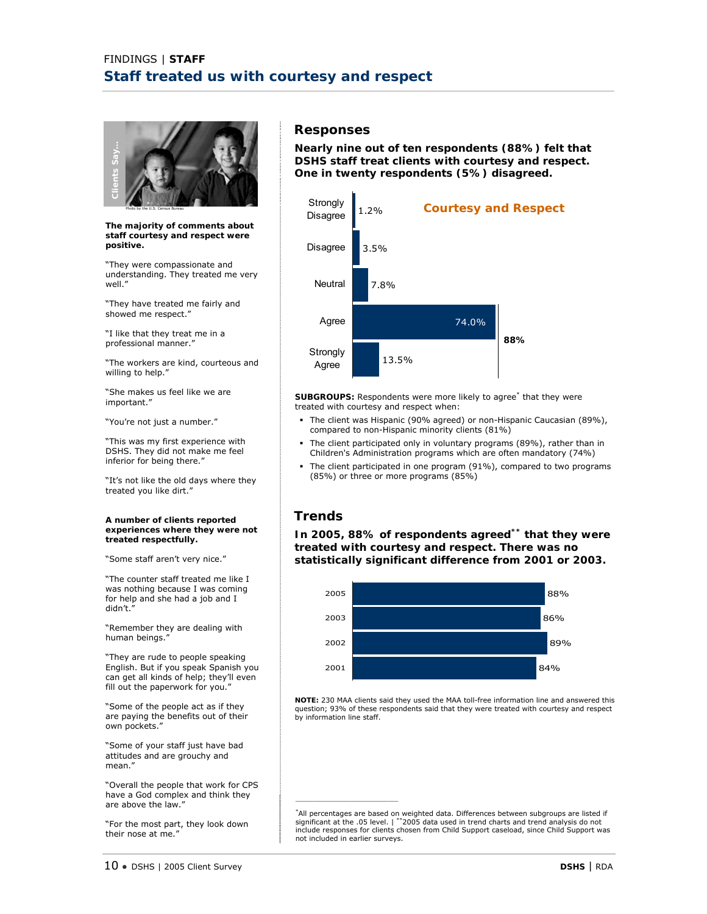

**The majority of comments about staff courtesy and respect were positive.** 

"They were compassionate and understanding. They treated me very well."

"They have treated me fairly and showed me respect."

"I like that they treat me in a professional manner."

"The workers are kind, courteous and willing to help."

"She makes us feel like we are important."

"You're not just a number."

"This was my first experience with DSHS. They did not make me feel inferior for being there."

"It's not like the old days where they treated you like dirt."

**A number of clients reported experiences where they were not treated respectfully.** 

"Some staff aren't very nice."

"The counter staff treated me like I was nothing because I was coming for help and she had a job and I didn't."

"Remember they are dealing with human beings."

"They are rude to people speaking English. But if you speak Spanish you can get all kinds of help; they'll even fill out the paperwork for you."

"Some of the people act as if they are paying the benefits out of their own pockets."

"Some of your staff just have bad attitudes and are grouchy and mean."

"Overall the people that work for CPS have a God complex and think they are above the law."

"For the most part, they look down their nose at me.'

# **Responses**

**Nearly nine out of ten respondents (88%) felt that DSHS staff treat clients with courtesy and respect. One in twenty respondents (5%) disagreed.** 



SUBGROUPS: Respondents were more likely to agree<sup>\*</sup> that they were treated with courtesy and respect when:

- The client was Hispanic (90% agreed) or non-Hispanic Caucasian (89%), compared to non-Hispanic minority clients (81%)
- The client participated only in voluntary programs (89%), rather than in Children's Administration programs which are often mandatory (74%)
- The client participated in one program (91%), compared to two programs (85%) or three or more programs (85%)

# **Trends**

 $\mathcal{L}_\text{max}$  and  $\mathcal{L}_\text{max}$  are the set of the set of the set of the set of the set of the set of the set of the set of the set of the set of the set of the set of the set of the set of the set of the set of the set o

**In 2005, 88% of respondents agreed\*\* that they were treated with courtesy and respect. There was no statistically significant difference from 2001 or 2003.** 



**NOTE:** 230 MAA clients said they used the MAA toll-free information line and answered this question; 93% of these respondents said that they were treated with courtesy and respect by information line staff.

\*All percentages are based on weighted data. Differences between subgroups are listed if<br>significant at the .05 level. | \*\*2005 data used in trend charts and trend analysis do not<br>include responses for clients chosen from not included in earlier surveys.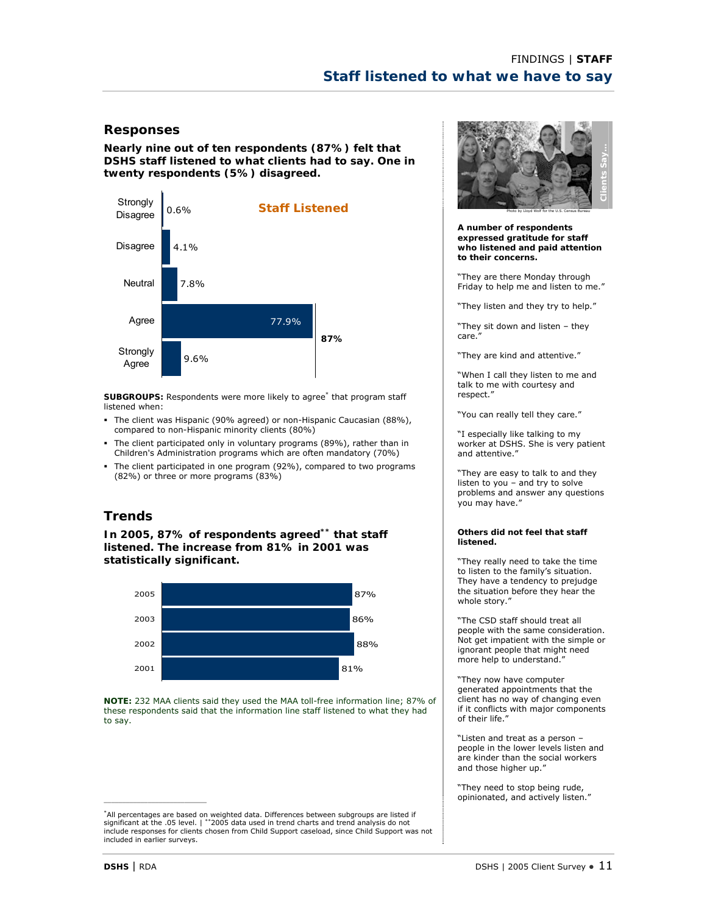**Nearly nine out of ten respondents (87%) felt that DSHS staff listened to what clients had to say. One in twenty respondents (5%) disagreed.** 



**SUBGROUPS:** Respondents were more likely to agree\* that program staff listened when:

- The client was Hispanic (90% agreed) or non-Hispanic Caucasian (88%), compared to non-Hispanic minority clients (80%)
- The client participated only in voluntary programs (89%), rather than in Children's Administration programs which are often mandatory (70%)
- The client participated in one program (92%), compared to two programs (82%) or three or more programs (83%)

# **Trends**

**In 2005, 87% of respondents agreed\*\* that staff listened. The increase from 81% in 2001 was statistically significant.** 



**NOTE:** 232 MAA clients said they used the MAA toll-free information line; 87% of these respondents said that the information line staff listened to what they had to say.



**A number of respondents expressed gratitude for staff who listened and paid attention to their concerns.** 

"They are there Monday through Friday to help me and listen to me."

"They listen and they try to help."

"They sit down and listen – they care."

"They are kind and attentive."

"When I call they listen to me and talk to me with courtesy and respect."

"You can really tell they care."

"I especially like talking to my worker at DSHS. She is very patient and attentive."

"They are easy to talk to and they listen to you – and try to solve problems and answer any questions you may have."

#### **Others did not feel that staff listened.**

"They really need to take the time to listen to the family's situation. They have a tendency to prejudge the situation before they hear the whole story."

"The CSD staff should treat all people with the same consideration. Not get impatient with the simple or ignorant people that might need more help to understand."

"They now have computer generated appointments that the client has no way of changing even if it conflicts with major components of their life."

"Listen and treat as a person – people in the lower levels listen and are kinder than the social workers and those higher up."

"They need to stop being rude, opinionated, and actively listen."

<sup>\*</sup>All percentages are based on weighted data. Differences between subgroups are listed if significant at the .05 level. | \*\*2005 data used in trend charts and trend analysis do not include responses for clients chosen from Child Support caseload, since Child Support was not included in earlier surveys.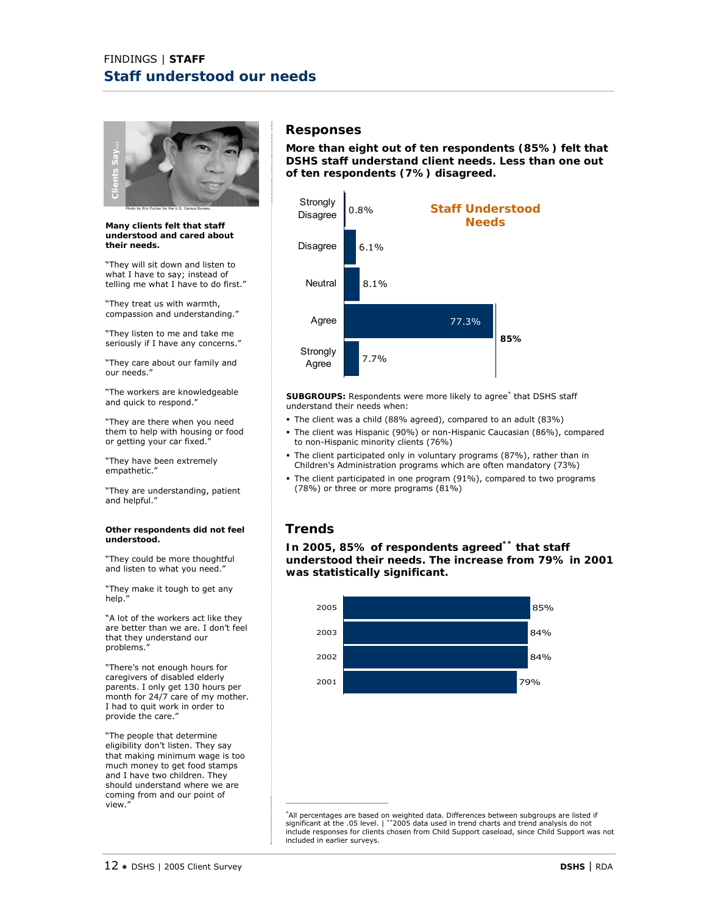

**Many clients felt that staff understood and cared about their needs.** 

"They will sit down and listen to what I have to say; instead of telling me what I have to do first."

"They treat us with warmth, compassion and understanding."

"They listen to me and take me seriously if I have any concerns."

"They care about our family and our needs."

"The workers are knowledgeable and quick to respond."

"They are there when you need them to help with housing or food or getting your car fixed."

"They have been extremely empathetic."

"They are understanding, patient and helpful."

#### **Other respondents did not feel understood.**

"They could be more thoughtful and listen to what you need.'

"They make it tough to get any help."

"A lot of the workers act like they are better than we are. I don't feel that they understand our problems."

"There's not enough hours for caregivers of disabled elderly parents. I only get 130 hours per month for 24/7 care of my mother. I had to quit work in order to provide the care."

"The people that determine eligibility don't listen. They say that making minimum wage is too much money to get food stamps and I have two children. They should understand where we are coming from and our point of<br>view." view."  $\blacksquare$ 

### **Responses**

**More than eight out of ten respondents (85%) felt that DSHS staff understand client needs. Less than one out of ten respondents (7%) disagreed.** 



**SUBGROUPS:** Respondents were more likely to agree\* that DSHS staff understand their needs when:

- The client was a child (88% agreed), compared to an adult (83%)
- The client was Hispanic (90%) or non-Hispanic Caucasian (86%), compared to non-Hispanic minority clients (76%)
- The client participated only in voluntary programs (87%), rather than in Children's Administration programs which are often mandatory (73%)
- The client participated in one program (91%), compared to two programs (78%) or three or more programs (81%)

# **Trends**

**In 2005, 85% of respondents agreed\*\* that staff understood their needs. The increase from 79% in 2001 was statistically significant.** 



\*All percentages are based on weighted data. Differences between subgroups are listed if significant at the .05 level. | \*\*2005 data used in trend charts and trend analysis do not include responses for clients chosen from Child Support caseload, since Child Support was not included in earlier surveys.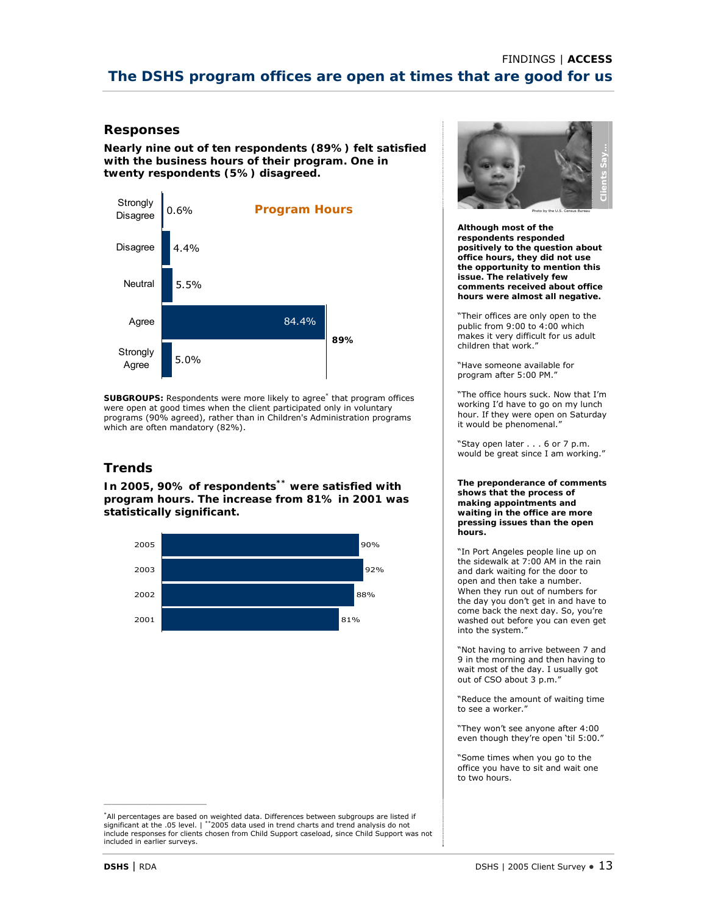**Nearly nine out of ten respondents (89%) felt satisfied with the business hours of their program. One in twenty respondents (5%) disagreed.** 



**SUBGROUPS:** Respondents were more likely to agree\* that program offices were open at good times when the client participated only in voluntary programs (90% agreed), rather than in Children's Administration programs which are often mandatory (82%).

# **Trends**

**In 2005, 90% of respondents\*\* were satisfied with program hours. The increase from 81% in 2001 was statistically significant.** 



\*All percentages are based on weighted data. Differences between subgroups are listed if significant at the .05 level. | \*\*2005 data used in trend charts and trend analysis do not include responses for clients chosen from Child Support caseload, since Child Support was not included in earlier surveys.



**Although most of the respondents responded positively to the question about office hours, they did not use the opportunity to mention this issue. The relatively few comments received about office hours were almost all negative.** 

"Their offices are only open to the public from 9:00 to 4:00 which makes it very difficult for us adult children that work."

"Have someone available for program after 5:00 PM."

"The office hours suck. Now that I'm working I'd have to go on my lunch hour. If they were open on Saturday it would be phenomenal."

"Stay open later . . . 6 or 7 p.m. would be great since I am working."

**The preponderance of comments shows that the process of making appointments and waiting in the office are more pressing issues than the open hours.** 

"In Port Angeles people line up on the sidewalk at 7:00 AM in the rain and dark waiting for the door to open and then take a number. When they run out of numbers for the day you don't get in and have to come back the next day. So, you're washed out before you can even get into the system."

"Not having to arrive between 7 and 9 in the morning and then having to wait most of the day. I usually got out of CSO about 3 p.m."

"Reduce the amount of waiting time to see a worker."

"They won't see anyone after 4:00 even though they're open 'til 5:00."

"Some times when you go to the office you have to sit and wait one to two hours.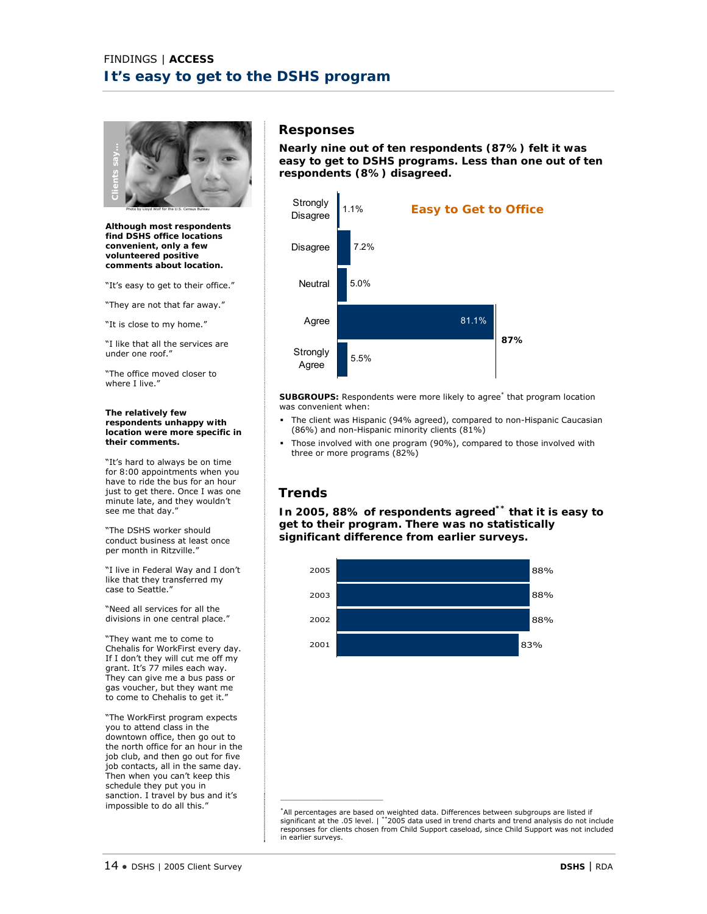

**Although most respondents find DSHS office locations convenient, only a few volunteered positive comments about location.** 

"It's easy to get to their office."

"They are not that far away."

"It is close to my home."

"I like that all the services are under one roof."

"The office moved closer to where I live.'

#### **The relatively few respondents unhappy with location were more specific in their comments.**

"It's hard to always be on time for 8:00 appointments when you have to ride the bus for an hour just to get there. Once I was one minute late, and they wouldn't see me that day."

"The DSHS worker should conduct business at least once per month in Ritzville."

"I live in Federal Way and I don't like that they transferred my case to Seattle."

"Need all services for all the divisions in one central place."

"They want me to come to Chehalis for WorkFirst every day. If I don't they will cut me off my grant. It's 77 miles each way. They can give me a bus pass or gas voucher, but they want me to come to Chehalis to get it."

"The WorkFirst program expects you to attend class in the downtown office, then go out to the north office for an hour in the job club, and then go out for five job contacts, all in the same day. Then when you can't keep this schedule they put you in sanction. I travel by bus and it's impossible to do all this."

#### **Responses**

**Nearly nine out of ten respondents (87%) felt it was easy to get to DSHS programs. Less than one out of ten respondents (8%) disagreed.**



SUBGROUPS: Respondents were more likely to agree<sup>\*</sup> that program location was convenient when:

- The client was Hispanic (94% agreed), compared to non-Hispanic Caucasian (86%) and non-Hispanic minority clients (81%)
- Those involved with one program (90%), compared to those involved with three or more programs (82%)

# **Trends**

\_\_\_\_\_\_\_\_\_\_\_\_\_\_\_\_\_\_\_\_\_\_\_\_\_\_\_\_

**In 2005, 88% of respondents agreed\*\* that it is easy to get to their program. There was no statistically significant difference from earlier surveys.** 



\*All percentages are based on weighted data. Differences between subgroups are listed if significant at the .05 level. | \*\*2005 data used in trend charts and trend analysis do not include responses for clients chosen from Child Support caseload, since Child Support was not included in earlier surveys.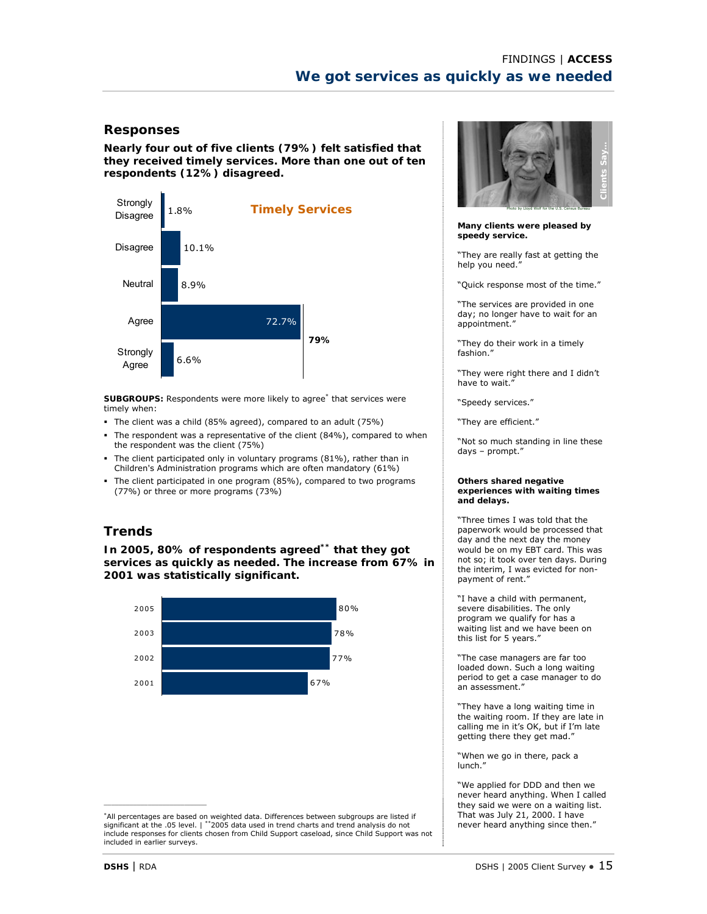**Nearly four out of five clients (79%) felt satisfied that they received timely services. More than one out of ten respondents (12%) disagreed.** 



**SUBGROUPS:** Respondents were more likely to agree\* that services were timely when:

- The client was a child (85% agreed), compared to an adult (75%)
- The respondent was a representative of the client (84%), compared to when the respondent was the client (75%)
- The client participated only in voluntary programs (81%), rather than in Children's Administration programs which are often mandatory (61%)
- The client participated in one program (85%), compared to two programs (77%) or three or more programs (73%)

# **Trends**

**In 2005, 80% of respondents agreed\*\* that they got services as quickly as needed. The increase from 67% in 2001 was statistically significant.** 



\*All percentages are based on weighted data. Differences between subgroups are listed if significant at the .05 level. | \*\*2005 data used in trend charts and trend analysis do not include responses for clients chosen from Child Support caseload, since Child Support was not included in earlier surveys.



**Many clients were pleased by speedy service.** 

"They are really fast at getting the help you need."

"Quick response most of the time."

"The services are provided in one day; no longer have to wait for an appointment."

"They do their work in a timely fashion."

"They were right there and I didn't have to wait."

"Speedy services."

"They are efficient."

"Not so much standing in line these days – prompt."

#### **Others shared negative experiences with waiting times and delays.**

"Three times I was told that the paperwork would be processed that day and the next day the money would be on my EBT card. This was not so; it took over ten days. During the interim, I was evicted for nonpayment of rent."

"I have a child with permanent, severe disabilities. The only program we qualify for has a waiting list and we have been on this list for 5 years."

"The case managers are far too loaded down. Such a long waiting period to get a case manager to do an assessment."

"They have a long waiting time in the waiting room. If they are late in calling me in it's OK, but if I'm late getting there they get mad."

"When we go in there, pack a lunch."

"We applied for DDD and then we never heard anything. When I called they said we were on a waiting list. That was July 21, 2000. I have never heard anything since then."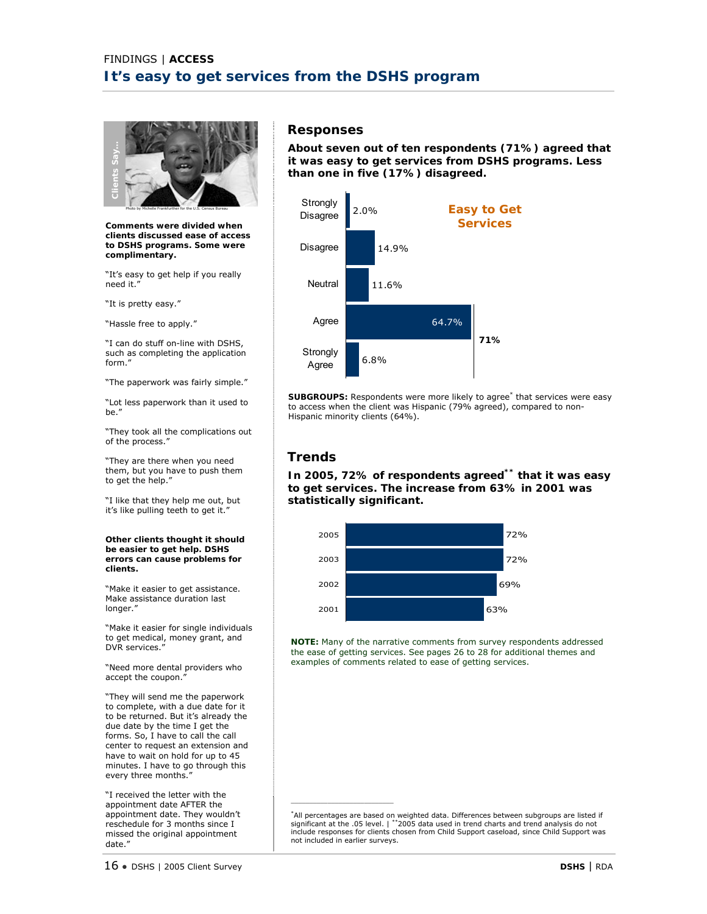

**Comments were divided when clients discussed ease of access to DSHS programs. Some were complimentary.** 

"It's easy to get help if you really need it."

"It is pretty easy."

"Hassle free to apply."

"I can do stuff on-line with DSHS, such as completing the application form."

"The paperwork was fairly simple."

"Lot less paperwork than it used to be."

"They took all the complications out of the process."

"They are there when you need them, but you have to push them to get the help."

"I like that they help me out, but it's like pulling teeth to get it.'

**Other clients thought it should be easier to get help. DSHS errors can cause problems for clients.** 

"Make it easier to get assistance. Make assistance duration last longer."

"Make it easier for single individuals to get medical, money grant, and DVR services."

"Need more dental providers who accept the coupon."

"They will send me the paperwork to complete, with a due date for it to be returned. But it's already the due date by the time I get the forms. So, I have to call the call center to request an extension and have to wait on hold for up to 45 minutes. I have to go through this every three months."

"I received the letter with the appointment date AFTER the appointment date. They wouldn't reschedule for 3 months since I missed the original appointment date."

#### **Responses**

**About seven out of ten respondents (71%) agreed that it was easy to get services from DSHS programs. Less than one in five (17%) disagreed.** 



SUBGROUPS: Respondents were more likely to agree<sup>\*</sup> that services were easy to access when the client was Hispanic (79% agreed), compared to non-Hispanic minority clients (64%).

# **Trends**

\_\_\_\_\_\_\_\_\_\_\_\_\_\_\_\_\_\_\_\_\_\_\_\_\_\_\_\_

**In 2005, 72% of respondents agreed\*\* that it was easy to get services. The increase from 63% in 2001 was statistically significant.** 



**NOTE:** Many of the narrative comments from survey respondents addressed the ease of getting services. See pages 26 to 28 for additional themes and examples of comments related to ease of getting services.

\*All percentages are based on weighted data. Differences between subgroups are listed if<br>significant at the .05 level. | \*\*2005 data used in trend charts and trend analysis do not<br>include responses for clients chosen from not included in earlier surveys.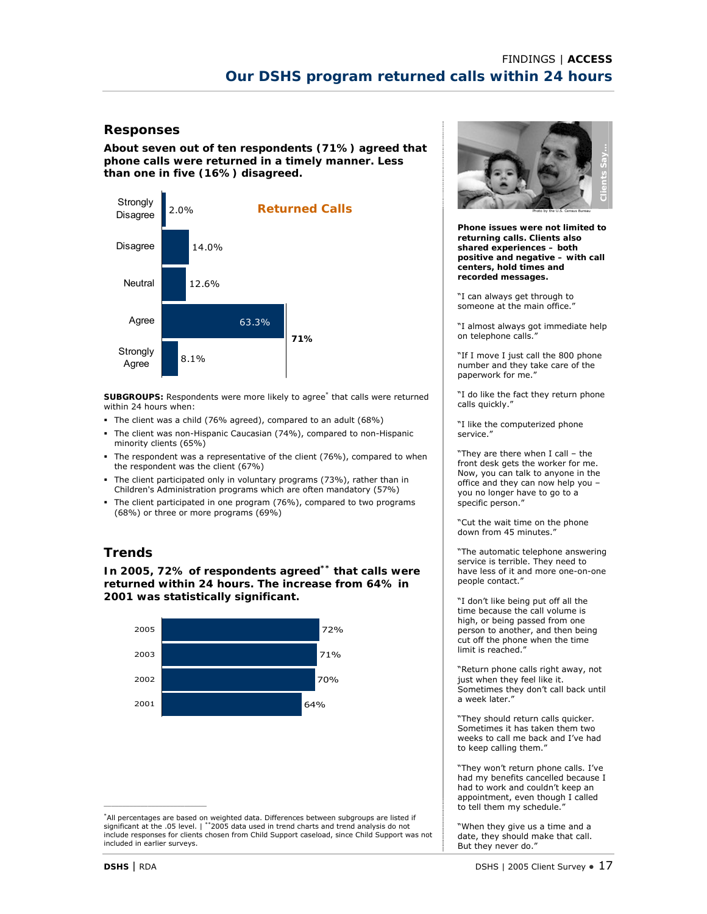**About seven out of ten respondents (71%) agreed that phone calls were returned in a timely manner. Less than one in five (16%) disagreed.** 



**SUBGROUPS:** Respondents were more likely to agree<sup>\*</sup> that calls were returned within 24 hours when:

- The client was a child (76% agreed), compared to an adult (68%)
- The client was non-Hispanic Caucasian (74%), compared to non-Hispanic minority clients (65%)
- The respondent was a representative of the client (76%), compared to when the respondent was the client (67%)
- The client participated only in voluntary programs (73%), rather than in Children's Administration programs which are often mandatory (57%)
- The client participated in one program (76%), compared to two programs (68%) or three or more programs (69%)

# **Trends**

**In 2005, 72% of respondents agreed\*\* that calls were returned within 24 hours. The increase from 64% in 2001 was statistically significant.** 





**Phone issues were not limited to returning calls. Clients also shared experiences – both positive and negative – with call centers, hold times and recorded messages.**

"I can always get through to someone at the main office."

"I almost always got immediate help on telephone calls."

"If I move I just call the 800 phone number and they take care of the paperwork for me.'

"I do like the fact they return phone calls quickly."

"I like the computerized phone service."

"They are there when I call – the front desk gets the worker for me. Now, you can talk to anyone in the office and they can now help you – you no longer have to go to a specific person."

"Cut the wait time on the phone down from 45 minutes.

"The automatic telephone answering service is terrible. They need to have less of it and more one-on-one people contact."

"I don't like being put off all the time because the call volume is high, or being passed from one person to another, and then being cut off the phone when the time limit is reached."

"Return phone calls right away, not just when they feel like it. Sometimes they don't call back until a week later."

"They should return calls quicker. Sometimes it has taken them two weeks to call me back and I've had to keep calling them."

"They won't return phone calls. I've had my benefits cancelled because I had to work and couldn't keep an appointment, even though I called to tell them my schedule."

"When they give us a time and a date, they should make that call. But they never do."

<sup>\*</sup>All percentages are based on weighted data. Differences between subgroups are listed if significant at the .05 level. | \*\*2005 data used in trend charts and trend analysis do not include responses for clients chosen from Child Support caseload, since Child Support was not included in earlier surveys.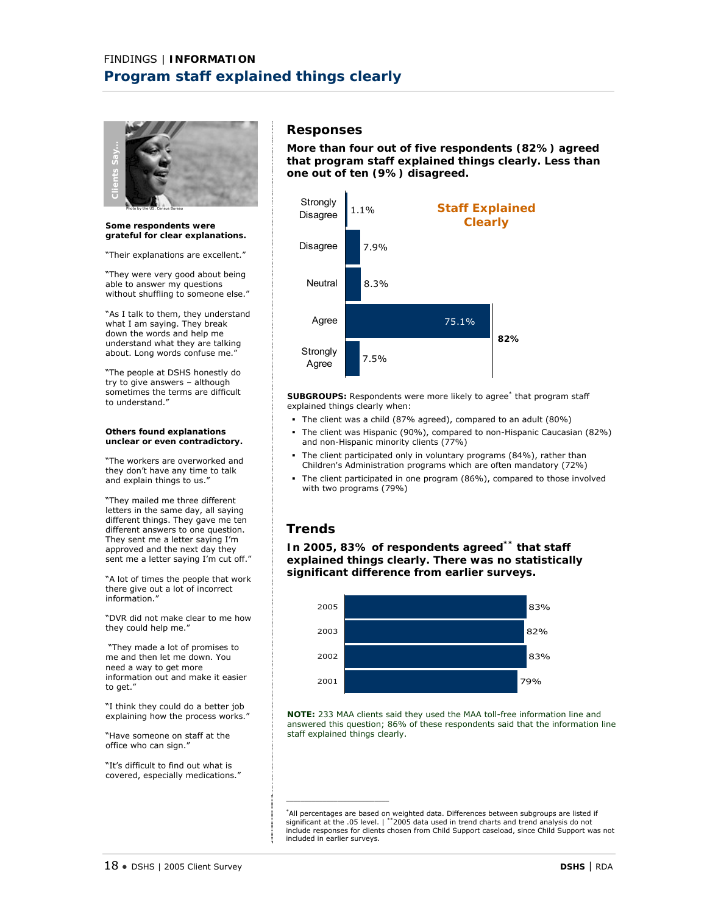

**Some respondents were grateful for clear explanations.** 

"Their explanations are excellent."

"They were very good about being able to answer my questions without shuffling to someone else."

"As I talk to them, they understand what I am saying. They break down the words and help me understand what they are talking about. Long words confuse me.'

"The people at DSHS honestly do try to give answers – although sometimes the terms are difficult to understand."

#### **Others found explanations unclear or even contradictory.**

"The workers are overworked and they don't have any time to talk and explain things to us."

"They mailed me three different letters in the same day, all saying different things. They gave me ten different answers to one question. They sent me a letter saying I'm approved and the next day they sent me a letter saying I'm cut off."

"A lot of times the people that work there give out a lot of incorrect information."

"DVR did not make clear to me how they could help me."

 "They made a lot of promises to me and then let me down. You need a way to get more information out and make it easier to get."

"I think they could do a better job explaining how the process works."

"Have someone on staff at the office who can sign."

"It's difficult to find out what is covered, especially medications."

# **Responses**

**More than four out of five respondents (82%) agreed that program staff explained things clearly. Less than one out of ten (9%) disagreed.** 



**SUBGROUPS:** Respondents were more likely to agree\* that program staff explained things clearly when:

- The client was a child (87% agreed), compared to an adult (80%)
- The client was Hispanic (90%), compared to non-Hispanic Caucasian (82%) and non-Hispanic minority clients (77%)
- The client participated only in voluntary programs (84%), rather than Children's Administration programs which are often mandatory (72%)
- The client participated in one program (86%), compared to those involved with two programs (79%)

# **Trends**

\_\_\_\_\_\_\_\_\_\_\_\_\_\_\_\_\_\_\_\_\_\_\_\_\_\_\_\_

**In 2005, 83% of respondents agreed\*\* that staff explained things clearly. There was no statistically significant difference from earlier surveys.** 



**NOTE:** 233 MAA clients said they used the MAA toll-free information line and answered this question; 86% of these respondents said that the information line staff explained things clearly.

\*All percentages are based on weighted data. Differences between subgroups are listed if<br>significant at the .05 level. | \*\*2005 data used in trend charts and trend analysis do not<br>include responses for clients chosen from included in earlier surveys.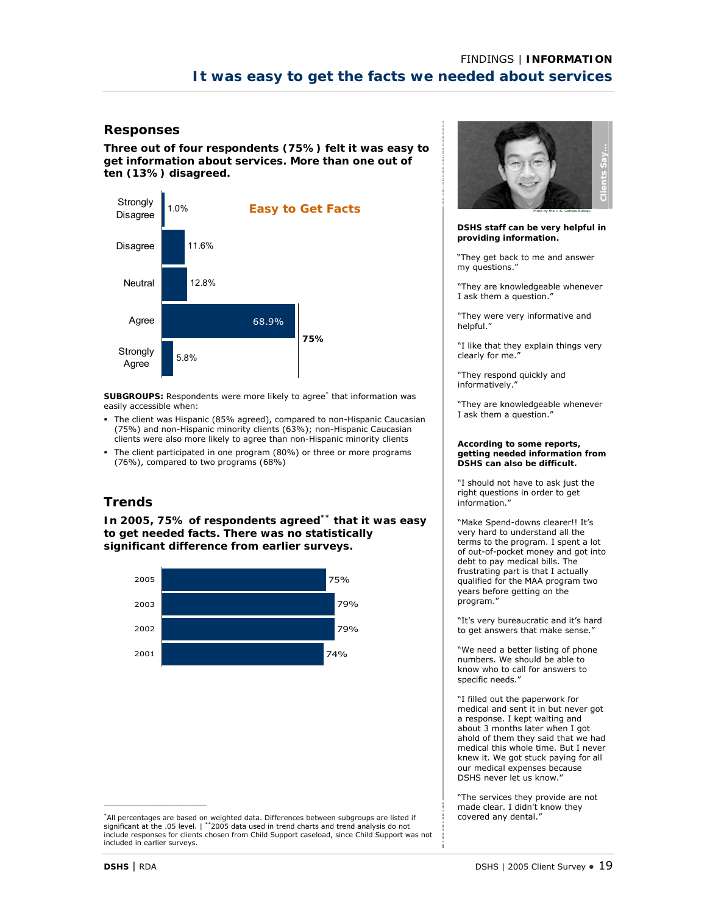**Three out of four respondents (75%) felt it was easy to get information about services. More than one out of ten (13%) disagreed.** 



SUBGROUPS: Respondents were more likely to agree<sup>\*</sup> that information was easily accessible when:

- The client was Hispanic (85% agreed), compared to non-Hispanic Caucasian (75%) and non-Hispanic minority clients (63%); non-Hispanic Caucasian clients were also more likely to agree than non-Hispanic minority clients
- The client participated in one program (80%) or three or more programs (76%), compared to two programs (68%)

# **Trends**

**In 2005, 75% of respondents agreed\*\* that it was easy to get needed facts. There was no statistically significant difference from earlier surveys.** 



\*All percentages are based on weighted data. Differences between subgroups are listed if significant at the .05 level. | \*\*2005 data used in trend charts and trend analysis do not include responses for clients chosen from Child Support caseload, since Child Support was not included in earlier surveys.



**DSHS staff can be very helpful in providing information.** 

"They get back to me and answer my questions."

"They are knowledgeable whenever I ask them a question."

"They were very informative and helpful."

"I like that they explain things very clearly for me.'

"They respond quickly and informatively."

"They are knowledgeable whenever I ask them a question."

#### **According to some reports, getting needed information from DSHS can also be difficult.**

"I should not have to ask just the right questions in order to get information."

"Make Spend-downs clearer!! It's very hard to understand all the terms to the program. I spent a lot of out-of-pocket money and got into debt to pay medical bills. The frustrating part is that I actually qualified for the MAA program two years before getting on the program."

"It's very bureaucratic and it's hard to get answers that make sense."

"We need a better listing of phone numbers. We should be able to know who to call for answers to specific needs."

"I filled out the paperwork for medical and sent it in but never got a response. I kept waiting and about 3 months later when I got ahold of them they said that we had medical this whole time. But I never knew it. We got stuck paying for all our medical expenses because DSHS never let us know."

"The services they provide are not made clear. I didn't know they covered any dental."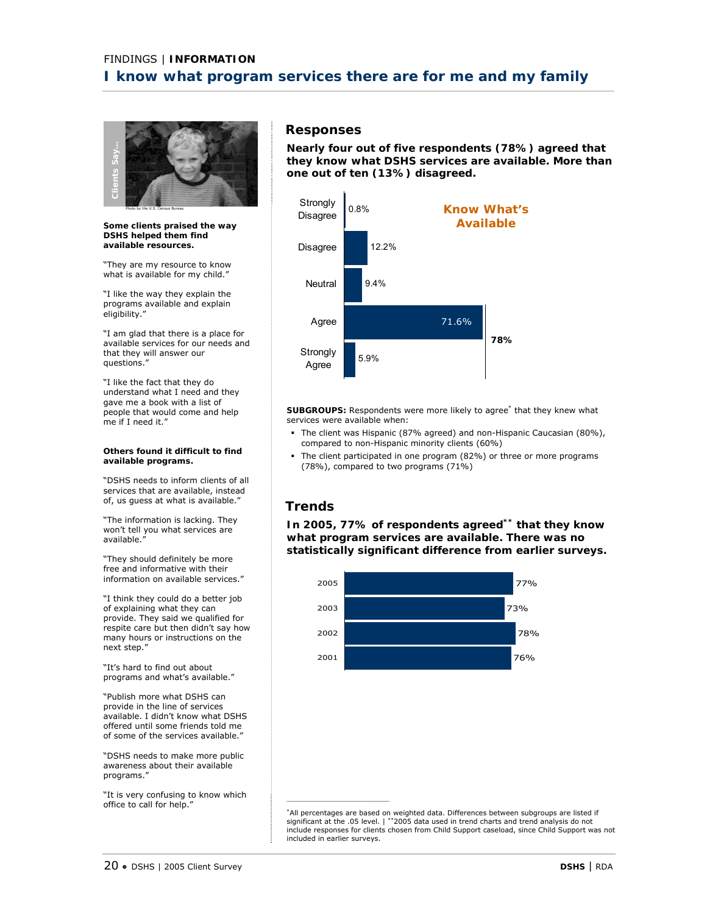

**Some clients praised the way DSHS helped them find available resources.** 

"They are my resource to know what is available for my child."

"I like the way they explain the programs available and explain eligibility."

"I am glad that there is a place for available services for our needs and that they will answer our questions."

"I like the fact that they do understand what I need and they gave me a book with a list of people that would come and help me if I need it."

#### **Others found it difficult to find available programs.**

"DSHS needs to inform clients of all services that are available, instead of, us guess at what is available."

"The information is lacking. They won't tell you what services are available."

"They should definitely be more free and informative with their information on available services."

"I think they could do a better job of explaining what they can provide. They said we qualified for respite care but then didn't say how many hours or instructions on the next step."

"It's hard to find out about programs and what's available."

"Publish more what DSHS can provide in the line of services available. I didn't know what DSHS offered until some friends told me of some of the services available."

"DSHS needs to make more public awareness about their available programs."

"It is very confusing to know which office to call for help.'

# **Responses**

**Nearly four out of five respondents (78%) agreed that they know what DSHS services are available. More than one out of ten (13%) disagreed.** 



SUBGROUPS: Respondents were more likely to agree<sup>\*</sup> that they knew what services were available when:

- The client was Hispanic (87% agreed) and non-Hispanic Caucasian (80%), compared to non-Hispanic minority clients (60%)
- The client participated in one program (82%) or three or more programs (78%), compared to two programs (71%)

# **Trends**

**In 2005, 77% of respondents agreed\*\* that they know what program services are available. There was no statistically significant difference from earlier surveys.** 



\*All percentages are based on weighted data. Differences between subgroups are listed if significant at the .05 level. | \*\*2005 data used in trend charts and trend analysis do not include responses for clients chosen from Child Support caseload, since Child Support was not included in earlier surveys.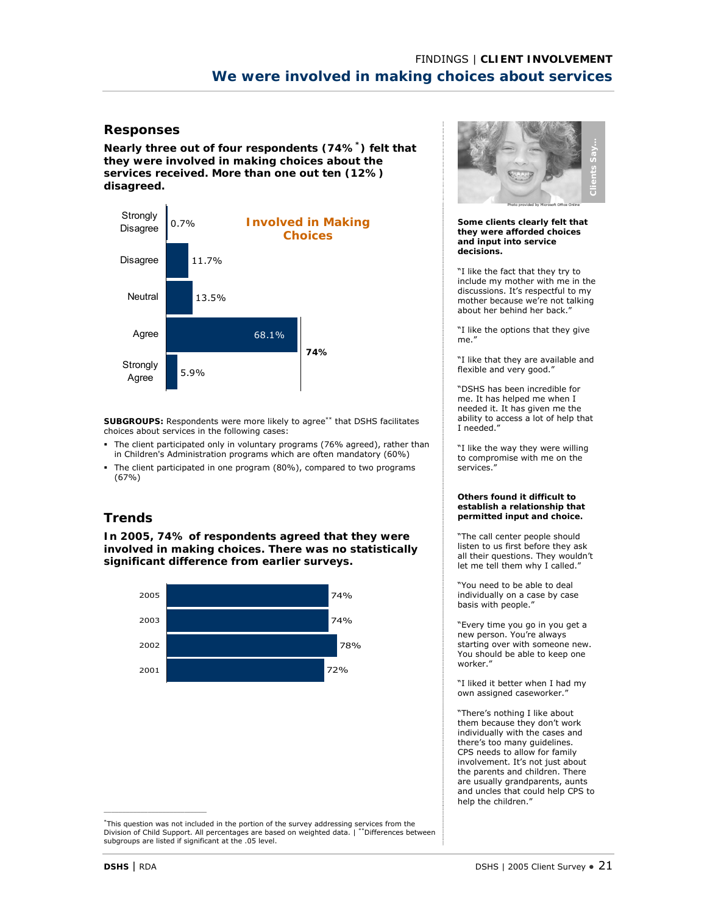**Nearly three out of four respondents (74%\*) felt that they were involved in making choices about the services received. More than one out ten (12%) disagreed.** 



**SUBGROUPS:** Respondents were more likely to agree\*\* that DSHS facilitates choices about services in the following cases:

- The client participated only in voluntary programs (76% agreed), rather than in Children's Administration programs which are often mandatory (60%)
- The client participated in one program (80%), compared to two programs (67%)

# **Trends**

**In 2005, 74% of respondents agreed that they were involved in making choices. There was no statistically significant difference from earlier surveys.** 



\*This question was not included in the portion of the survey addressing services from the Division of Child Support. All percentages are based on weighted data. | \*\*Differences between subgroups are listed if significant at the .05 level.



**Some clients clearly felt that they were afforded choices and input into service decisions.** 

"I like the fact that they try to include my mother with me in the discussions. It's respectful to my mother because we're not talking about her behind her back."

"I like the options that they give me."

"I like that they are available and flexible and very good."

"DSHS has been incredible for me. It has helped me when I needed it. It has given me the ability to access a lot of help that I needed."

"I like the way they were willing to compromise with me on the services."

#### **Others found it difficult to establish a relationship that permitted input and choice.**

"The call center people should listen to us first before they ask all their questions. They wouldn't let me tell them why I called."

"You need to be able to deal individually on a case by case basis with people."

"Every time you go in you get a new person. You're always starting over with someone new. You should be able to keep one worker."

"I liked it better when I had my own assigned caseworker."

"There's nothing I like about them because they don't work individually with the cases and there's too many guidelines. CPS needs to allow for family involvement. It's not just about the parents and children. There are usually grandparents, aunts and uncles that could help CPS to help the children."

 $\mathcal{L}_\text{max}$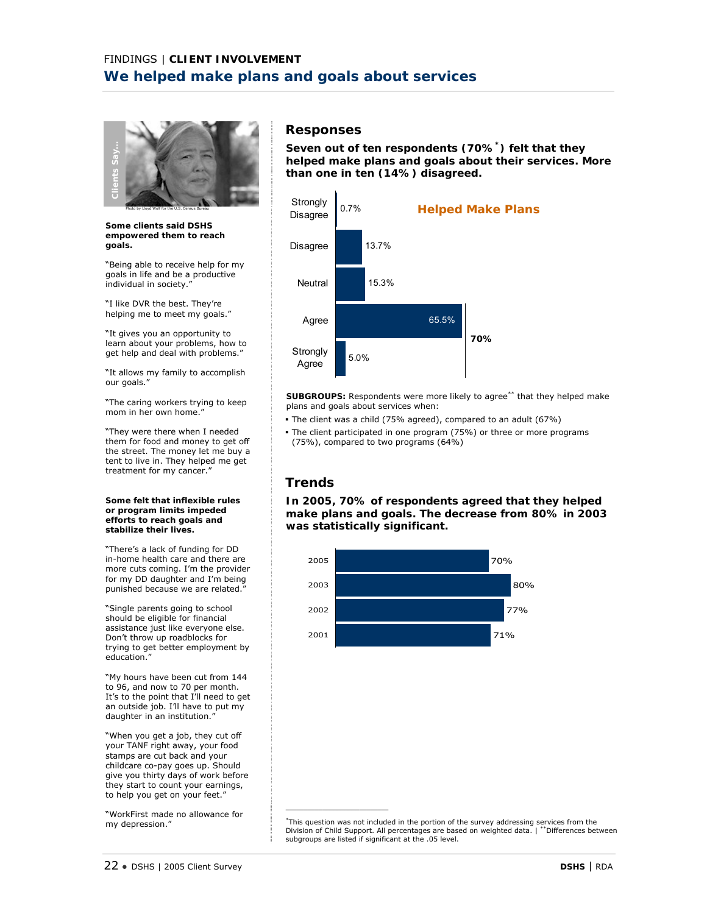

**Some clients said DSHS empowered them to reach goals.** 

"Being able to receive help for my goals in life and be a productive individual in society."

"I like DVR the best. They're helping me to meet my goals."

"It gives you an opportunity to learn about your problems, how to get help and deal with problems.'

"It allows my family to accomplish our goals."

"The caring workers trying to keep mom in her own home."

"They were there when I needed them for food and money to get off the street. The money let me buy a tent to live in. They helped me get treatment for my cancer."

#### **Some felt that inflexible rules or program limits impeded efforts to reach goals and stabilize their lives.**

"There's a lack of funding for DD in-home health care and there are more cuts coming. I'm the provider for my DD daughter and I'm being punished because we are related."

"Single parents going to school should be eligible for financial assistance just like everyone else. Don't throw up roadblocks for trying to get better employment by education.

"My hours have been cut from 144 to 96, and now to 70 per month. It's to the point that I'll need to get an outside job. I'll have to put my daughter in an institution.

"When you get a job, they cut off your TANF right away, your food stamps are cut back and your childcare co-pay goes up. Should give you thirty days of work before they start to count your earnings, to help you get on your feet."

"WorkFirst made no allowance for my depression."

# **Responses**

**Seven out of ten respondents (70%\*) felt that they helped make plans and goals about their services. More than one in ten (14%) disagreed.** 



**SUBGROUPS:** Respondents were more likely to agree\*\* that they helped make plans and goals about services when:

- The client was a child (75% agreed), compared to an adult (67%)
- The client participated in one program (75%) or three or more programs (75%), compared to two programs (64%)

# **Trends**

\_\_\_\_\_\_\_\_\_\_\_\_\_\_\_\_\_\_\_\_\_\_\_\_\_\_\_\_

**In 2005, 70% of respondents agreed that they helped make plans and goals. The decrease from 80% in 2003 was statistically significant.**



\*This question was not included in the portion of the survey addressing services from the Division of Child Support. All percentages are based on weighted data. | \*\*Differences between subgroups are listed if significant at the .05 level.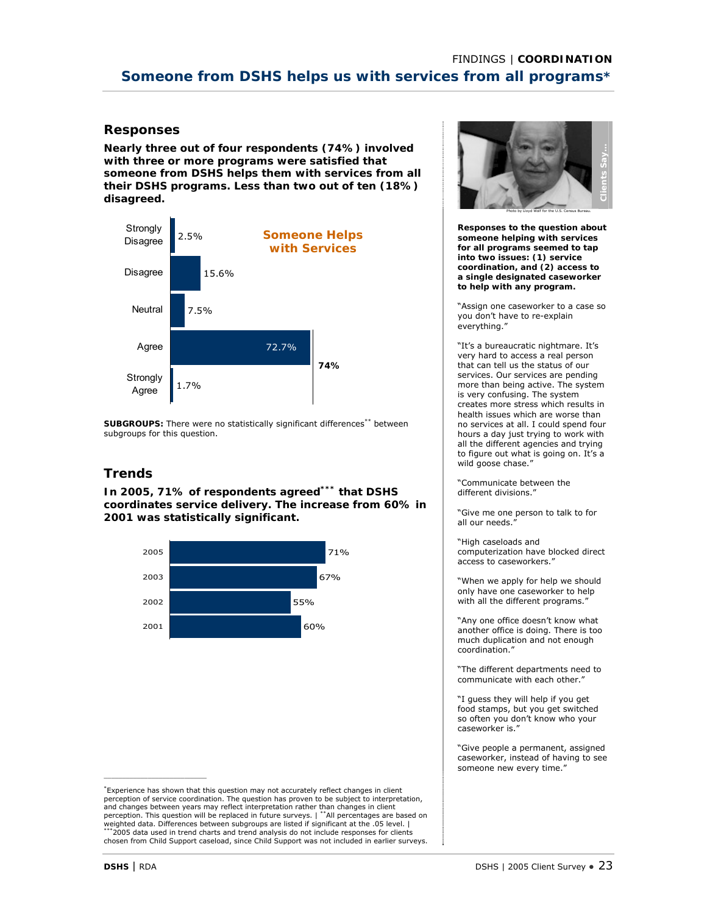**Nearly three out of four respondents (74%) involved with three or more programs were satisfied that someone from DSHS helps them with services from all their DSHS programs. Less than two out of ten (18%) disagreed.** 



**SUBGROUPS:** There were no statistically significant differences\*\* between subgroups for this question.

# **Trends**

**In 2005, 71% of respondents agreed\*\*\* that DSHS coordinates service delivery. The increase from 60% in 2001 was statistically significant.** 



\*Experience has shown that this question may not accurately reflect changes in client perception of service coordination. The question has proven to be subject to interpretation, and changes between years may reflect interpretation rather than changes in client<br>perception. This question will be replaced in future surveys. | \*\*All percentages are based on weighted data. Differences between subgroups are listed if significant at the .05 level. | \*2005 data used in trend charts and trend analysis do not include responses for clients chosen from Child Support caseload, since Child Support was not included in earlier surveys.



**Responses to the question about someone helping with services for all programs seemed to tap into two issues: (1) service coordination, and (2) access to a single designated caseworker to help with any program.** 

"Assign one caseworker to a case so you don't have to re-explain everything."

"It's a bureaucratic nightmare. It's very hard to access a real person that can tell us the status of our services. Our services are pending more than being active. The system is very confusing. The system creates more stress which results in health issues which are worse than no services at all. I could spend four hours a day just trying to work with all the different agencies and trying to figure out what is going on. It's a wild goose chase.

"Communicate between the different divisions."

"Give me one person to talk to for all our needs.

"High caseloads and computerization have blocked direct access to caseworkers."

"When we apply for help we should only have one caseworker to help with all the different programs."

"Any one office doesn't know what another office is doing. There is too much duplication and not enough coordination."

"The different departments need to communicate with each other."

"I guess they will help if you get food stamps, but you get switched so often you don't know who your caseworker is."

"Give people a permanent, assigned caseworker, instead of having to see someone new every time."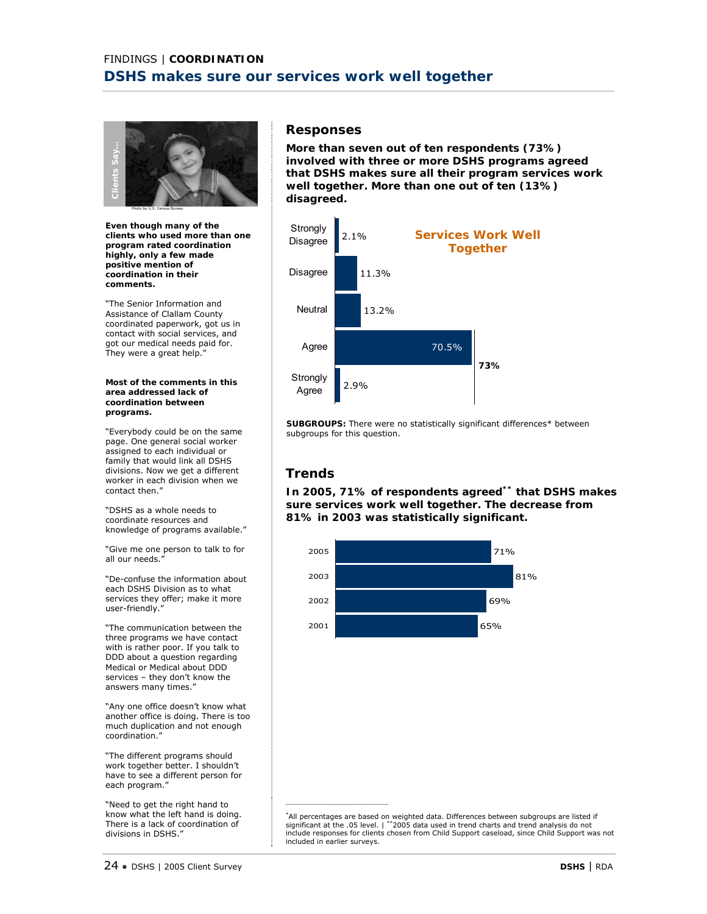

**Even though many of the clients who used more than one program rated coordination highly, only a few made positive mention of coordination in their comments.** 

"The Senior Information and Assistance of Clallam County coordinated paperwork, got us in contact with social services, and got our medical needs paid for. They were a great help."

#### **Most of the comments in this area addressed lack of coordination between programs.**

"Everybody could be on the same page. One general social worker assigned to each individual or family that would link all DSHS divisions. Now we get a different worker in each division when we contact then."

"DSHS as a whole needs to coordinate resources and knowledge of programs available."

"Give me one person to talk to for all our needs."

"De-confuse the information about each DSHS Division as to what services they offer; make it more user-friendly.'

"The communication between the three programs we have contact with is rather poor. If you talk to DDD about a question regarding Medical or Medical about DDD services – they don't know the answers many times."

"Any one office doesn't know what another office is doing. There is too much duplication and not enough coordination."

"The different programs should work together better. I shouldn't have to see a different person for each program."

"Need to get the right hand to know what the left hand is doing. There is a lack of coordination of divisions in DSHS."

### **Responses**

**More than seven out of ten respondents (73%) involved with three or more DSHS programs agreed that DSHS makes sure all their program services work well together. More than one out of ten (13%) disagreed.** 



**SUBGROUPS:** There were no statistically significant differences\* between subgroups for this question.

# **Trends**

\_\_\_\_\_\_\_\_\_\_\_\_\_\_\_\_\_\_\_\_\_\_\_\_\_\_\_\_

**In 2005, 71% of respondents agreed\*\* that DSHS makes sure services work well together. The decrease from 81% in 2003 was statistically significant.** 



\*All percentages are based on weighted data. Differences between subgroups are listed if significant at the .05 level. | \*\*2005 data used in trend charts and trend analysis do not include responses for clients chosen from Child Support caseload, since Child Support was not included in earlier surveys.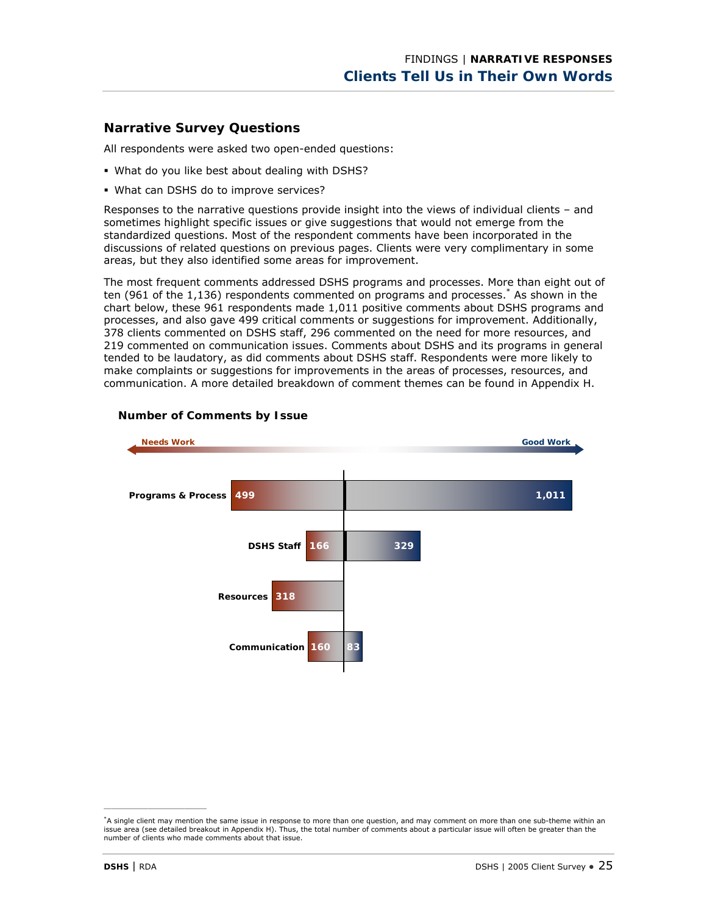# **Narrative Survey Questions**

All respondents were asked two open-ended questions:

- What do you like best about dealing with DSHS?
- What can DSHS do to improve services?

Responses to the narrative questions provide insight into the views of individual clients – and sometimes highlight specific issues or give suggestions that would not emerge from the standardized questions. Most of the respondent comments have been incorporated in the discussions of related questions on previous pages. Clients were very complimentary in some areas, but they also identified some areas for improvement.

The most frequent comments addressed DSHS programs and processes. More than eight out of ten (961 of the 1,136) respondents commented on programs and processes.\* As shown in the chart below, these 961 respondents made 1,011 positive comments about DSHS programs and processes, and also gave 499 critical comments or suggestions for improvement. Additionally, 378 clients commented on DSHS staff, 296 commented on the need for more resources, and 219 commented on communication issues. Comments about DSHS and its programs in general tended to be laudatory, as did comments about DSHS staff. Respondents were more likely to make complaints or suggestions for improvements in the areas of processes, resources, and communication. A more detailed breakdown of comment themes can be found in Appendix H.



### **Number of Comments by Issue**

<sup>\*</sup>A single client may mention the same issue in response to more than one question, and may comment on more than one sub-theme within an issue area (see detailed breakout in Appendix H). Thus, the total number of comments about a particular issue will often be greater than the number of clients who made comments about that issue.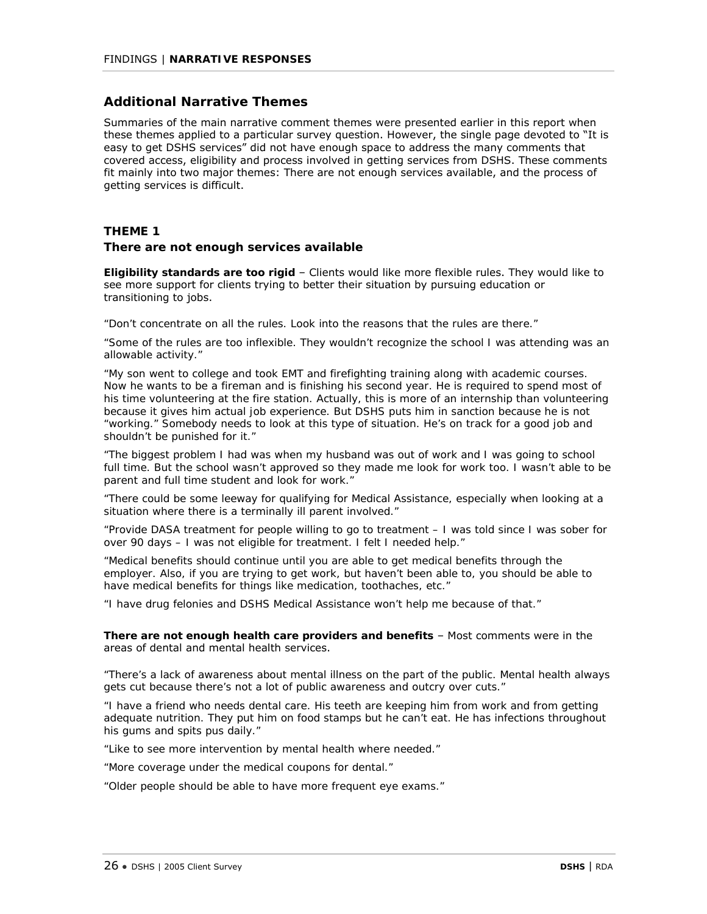# **Additional Narrative Themes**

Summaries of the main narrative comment themes were presented earlier in this report when these themes applied to a particular survey question. However, the single page devoted to "It is easy to get DSHS services" did not have enough space to address the many comments that covered access, eligibility and process involved in getting services from DSHS. These comments fit mainly into two major themes: There are not enough services available, and the process of getting services is difficult.

### **THEME 1**

### **There are not enough services available**

*Eligibility standards are too rigid* – Clients would like more flexible rules. They would like to see more support for clients trying to better their situation by pursuing education or transitioning to jobs.

*"Don't concentrate on all the rules. Look into the reasons that the rules are there."* 

*"Some of the rules are too inflexible. They wouldn't recognize the school I was attending was an allowable activity."* 

*"My son went to college and took EMT and firefighting training along with academic courses. Now he wants to be a fireman and is finishing his second year. He is required to spend most of his time volunteering at the fire station. Actually, this is more of an internship than volunteering because it gives him actual job experience. But DSHS puts him in sanction because he is not "working." Somebody needs to look at this type of situation. He's on track for a good job and shouldn't be punished for it."* 

*"The biggest problem I had was when my husband was out of work and I was going to school full time. But the school wasn't approved so they made me look for work too. I wasn't able to be parent and full time student and look for work."* 

*"There could be some leeway for qualifying for Medical Assistance, especially when looking at a situation where there is a terminally ill parent involved."* 

*"Provide DASA treatment for people willing to go to treatment – I was told since I was sober for over 90 days – I was not eligible for treatment. I felt I needed help."* 

*"Medical benefits should continue until you are able to get medical benefits through the employer. Also, if you are trying to get work, but haven't been able to, you should be able to have medical benefits for things like medication, toothaches, etc."* 

*"I have drug felonies and DSHS Medical Assistance won't help me because of that."*

*There are not enough health care providers and benefits* – Most comments were in the areas of dental and mental health services.

*"There's a lack of awareness about mental illness on the part of the public. Mental health always gets cut because there's not a lot of public awareness and outcry over cuts."* 

*"I have a friend who needs dental care. His teeth are keeping him from work and from getting adequate nutrition. They put him on food stamps but he can't eat. He has infections throughout his gums and spits pus daily."* 

*"Like to see more intervention by mental health where needed."* 

*"More coverage under the medical coupons for dental."* 

*"Older people should be able to have more frequent eye exams."*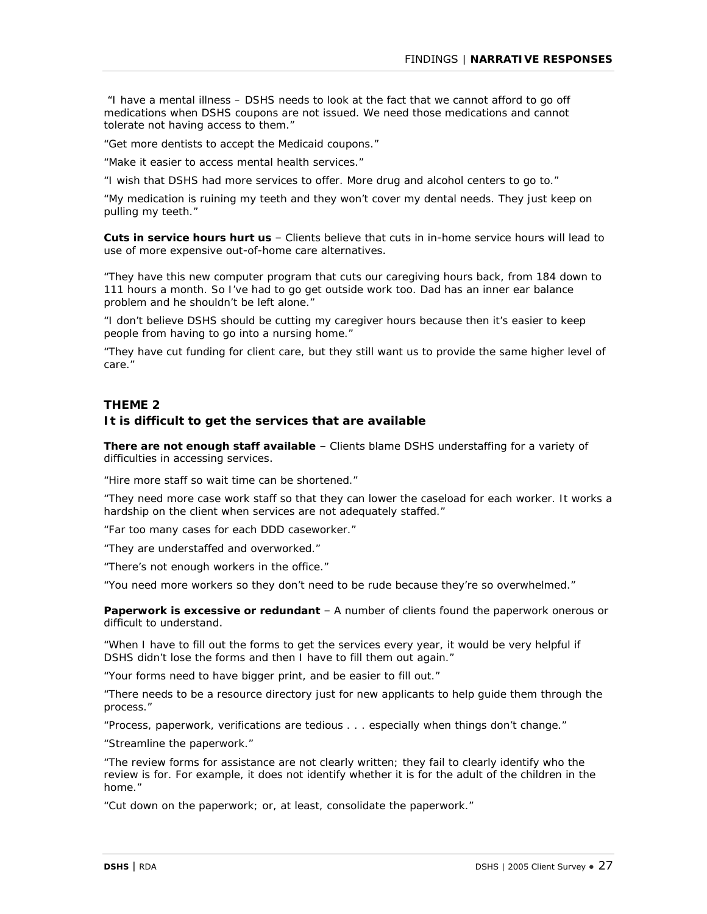*"I have a mental illness – DSHS needs to look at the fact that we cannot afford to go off medications when DSHS coupons are not issued. We need those medications and cannot tolerate not having access to them."* 

*"Get more dentists to accept the Medicaid coupons."* 

*"Make it easier to access mental health services."* 

*"I wish that DSHS had more services to offer. More drug and alcohol centers to go to."* 

*"My medication is ruining my teeth and they won't cover my dental needs. They just keep on pulling my teeth."* 

*Cuts in service hours hurt us* – Clients believe that cuts in in-home service hours will lead to use of more expensive out-of-home care alternatives.

*"They have this new computer program that cuts our caregiving hours back, from 184 down to 111 hours a month. So I've had to go get outside work too. Dad has an inner ear balance problem and he shouldn't be left alone."* 

*"I don't believe DSHS should be cutting my caregiver hours because then it's easier to keep people from having to go into a nursing home."* 

*"They have cut funding for client care, but they still want us to provide the same higher level of care."* 

### **THEME 2**

### **It is difficult to get the services that are available**

*There are not enough staff available* – Clients blame DSHS understaffing for a variety of difficulties in accessing services.

*"Hire more staff so wait time can be shortened."* 

*"They need more case work staff so that they can lower the caseload for each worker. It works a hardship on the client when services are not adequately staffed."* 

*"Far too many cases for each DDD caseworker."* 

*"They are understaffed and overworked."* 

*"There's not enough workers in the office."* 

*"You need more workers so they don't need to be rude because they're so overwhelmed."* 

**Paperwork is excessive or redundant** - A number of clients found the paperwork onerous or difficult to understand.

*"When I have to fill out the forms to get the services every year, it would be very helpful if DSHS didn't lose the forms and then I have to fill them out again."* 

*"Your forms need to have bigger print, and be easier to fill out."* 

*"There needs to be a resource directory just for new applicants to help guide them through the process."* 

*"Process, paperwork, verifications are tedious . . . especially when things don't change."* 

*"Streamline the paperwork."* 

*"The review forms for assistance are not clearly written; they fail to clearly identify who the*  review is for. For example, it does not identify whether it is for the adult of the children in the *home."* 

*"Cut down on the paperwork; or, at least, consolidate the paperwork."*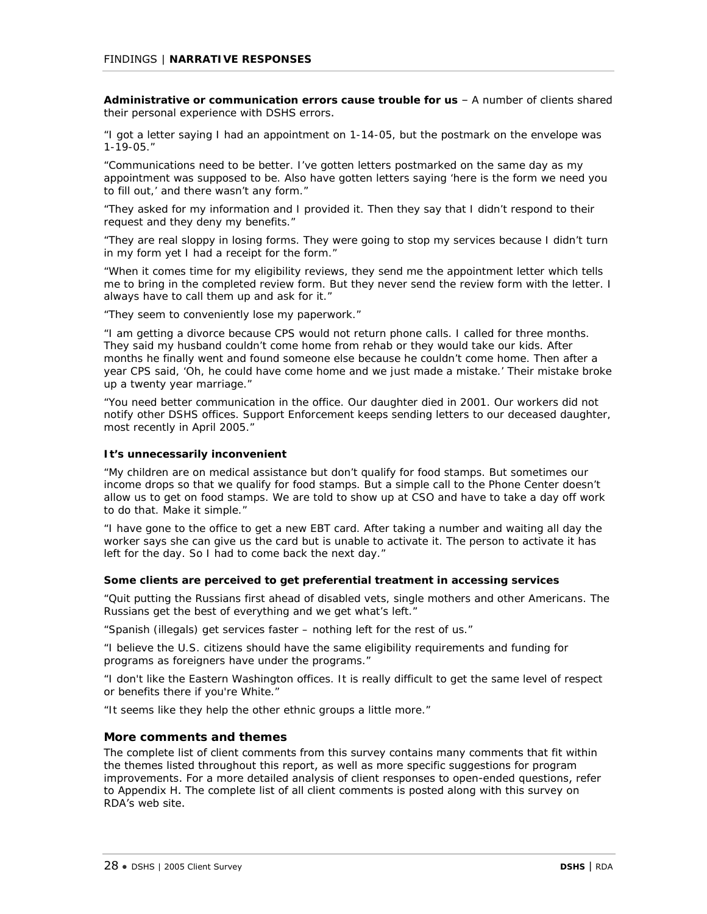*Administrative or communication errors cause trouble for us* – A number of clients shared their personal experience with DSHS errors.

*"I got a letter saying I had an appointment on 1-14-05, but the postmark on the envelope was 1-19-05."* 

*"Communications need to be better. I've gotten letters postmarked on the same day as my appointment was supposed to be. Also have gotten letters saying 'here is the form we need you to fill out,' and there wasn't any form."* 

*"They asked for my information and I provided it. Then they say that I didn't respond to their request and they deny my benefits."* 

*"They are real sloppy in losing forms. They were going to stop my services because I didn't turn in my form yet I had a receipt for the form."* 

*"When it comes time for my eligibility reviews, they send me the appointment letter which tells me to bring in the completed review form. But they never send the review form with the letter. I always have to call them up and ask for it."* 

*"They seem to conveniently lose my paperwork."* 

*"I am getting a divorce because CPS would not return phone calls. I called for three months. They said my husband couldn't come home from rehab or they would take our kids. After months he finally went and found someone else because he couldn't come home. Then after a year CPS said, 'Oh, he could have come home and we just made a mistake.' Their mistake broke up a twenty year marriage."* 

*"You need better communication in the office. Our daughter died in 2001. Our workers did not notify other DSHS offices. Support Enforcement keeps sending letters to our deceased daughter, most recently in April 2005."* 

#### *It's unnecessarily inconvenient*

*"My children are on medical assistance but don't qualify for food stamps. But sometimes our income drops so that we qualify for food stamps. But a simple call to the Phone Center doesn't allow us to get on food stamps. We are told to show up at CSO and have to take a day off work to do that. Make it simple."* 

*"I have gone to the office to get a new EBT card. After taking a number and waiting all day the worker says she can give us the card but is unable to activate it. The person to activate it has left for the day. So I had to come back the next day."* 

#### *Some clients are perceived to get preferential treatment in accessing services*

*"Quit putting the Russians first ahead of disabled vets, single mothers and other Americans. The Russians get the best of everything and we get what's left."* 

*"Spanish (illegals) get services faster – nothing left for the rest of us."* 

*"I believe the U.S. citizens should have the same eligibility requirements and funding for programs as foreigners have under the programs."* 

*"I don't like the Eastern Washington offices. It is really difficult to get the same level of respect or benefits there if you're White."* 

*"It seems like they help the other ethnic groups a little more."* 

### **More comments and themes**

The complete list of client comments from this survey contains many comments that fit within the themes listed throughout this report, as well as more specific suggestions for program improvements. For a more detailed analysis of client responses to open-ended questions, refer to Appendix H. The complete list of all client comments is posted along with this survey on RDA's web site.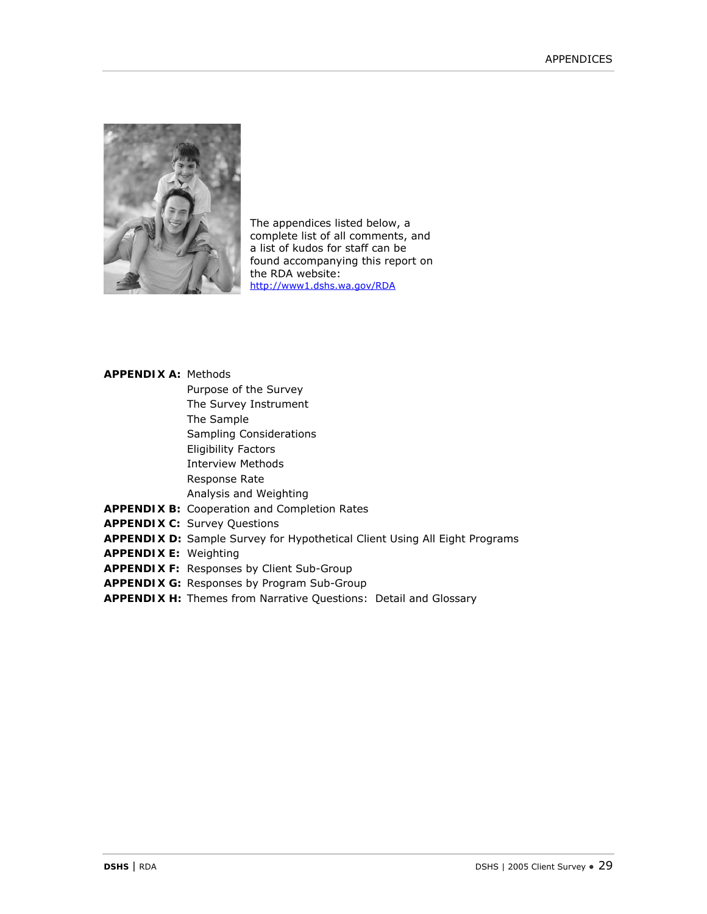

The appendices listed below, a complete list of all comments, and a list of kudos for staff can be found accompanying this report on the RDA website: http://www1.dshs.wa.gov/RDA

# **APPENDIX A:** Methods

- Purpose of the Survey
- The Survey Instrument
- The Sample
- Sampling Considerations
- Eligibility Factors
- Interview Methods
- Response Rate
- Analysis and Weighting
- **APPENDIX B:** Cooperation and Completion Rates
- **APPENDIX C:** Survey Questions
- **APPENDIX D:** Sample Survey for Hypothetical Client Using All Eight Programs
- **APPENDIX E:** Weighting
- **APPENDIX F:** Responses by Client Sub-Group
- **APPENDIX G:** Responses by Program Sub-Group
- **APPENDIX H:** Themes from Narrative Questions: Detail and Glossary